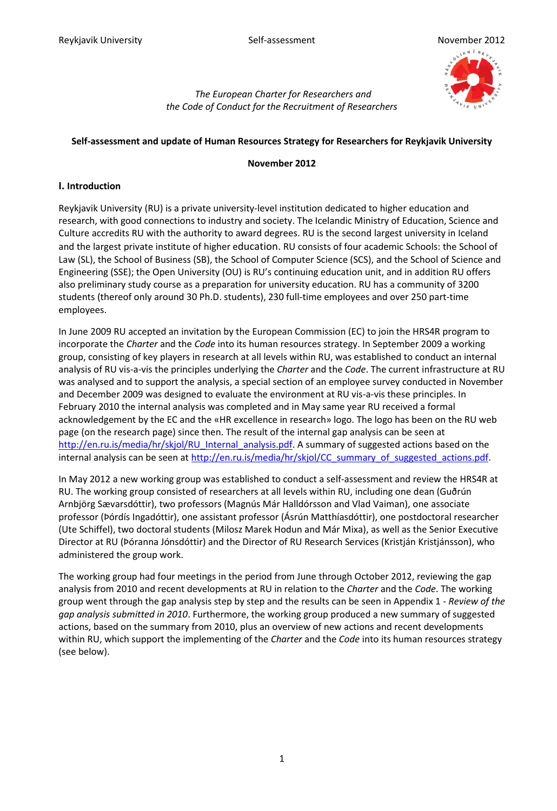

*The European Charter for Researchers and the Code of Conduct for the Recruitment of Researchers* 

#### **Self-assessment and update of Human Resources Strategy for Researchers for Reykjavik University**

#### **November 2012**

#### **I. Introduction**

Reykjavik University (RU) is a private university-level institution dedicated to higher education and research, with good connections to industry and society. The Icelandic Ministry of Education, Science and Culture accredits RU with the authority to award degrees. RU is the second largest university in Iceland and the largest private institute of higher education. RU consists of four academic Schools: the School of Law (SL), the School of Business (SB), the School of Computer Science (SCS), and the School of Science and Engineering (SSE); the Open University (OU) is RU's continuing education unit, and in addition RU offers also preliminary study course as a preparation for university education. RU has a community of 3200 students (thereof only around 30 Ph.D. students), 230 full-time employees and over 250 part-time employees.

In June 2009 RU accepted an invitation by the European Commission (EC) to join the HRS4R program to incorporate the *Charter* and the *Code* into its human resources strategy. In September 2009 a working group, consisting of key players in research at all levels within RU, was established to conduct an internal analysis of RU vis-a-vis the principles underlying the *Charter* and the *Code*. The current infrastructure at RU was analysed and to support the analysis, a special section of an employee survey conducted in November and December 2009 was designed to evaluate the environment at RU vis-a-vis these principles. In February 2010 the internal analysis was completed and in May same year RU received a formal acknowledgement by the EC and the «HR excellence in research» logo. The logo has been on the RU web page (on the research page) since then. The result of the internal gap analysis can be seen at [http://en.ru.is/media/hr/skjol/RU\\_Internal\\_analysis.pdf.](http://en.ru.is/media/hr/skjol/RU_Internal_analysis.pdf) A summary of suggested actions based on the internal analysis can be seen at [http://en.ru.is/media/hr/skjol/CC\\_summary\\_of\\_suggested\\_actions.pdf.](http://en.ru.is/media/hr/skjol/CC_summary_of_suggested_actions.pdf)

In May 2012 a new working group was established to conduct a self-assessment and review the HRS4R at RU. The working group consisted of researchers at all levels within RU, including one dean (Guðrún Arnbjörg Sævarsdóttir), two professors (Magnús Már Halldórsson and Vlad Vaiman), one associate professor (Þórdís Ingadóttir), one assistant professor (Ásrún Matthíasdóttir), one postdoctoral researcher (Ute Schiffel), two doctoral students (Milosz Marek Hodun and Már Mixa), as well as the Senior Executive Director at RU (Þóranna Jónsdóttir) and the Director of RU Research Services (Kristján Kristjánsson), who administered the group work.

The working group had four meetings in the period from June through October 2012, reviewing the gap analysis from 2010 and recent developments at RU in relation to the *Charter* and the *Code*. The working group went through the gap analysis step by step and the results can be seen in Appendix 1 - *Review of the gap analysis submitted in 2010*. Furthermore, the working group produced a new summary of suggested actions, based on the summary from 2010, plus an overview of new actions and recent developments within RU, which support the implementing of the *Charter* and the *Code* into its human resources strategy (see below).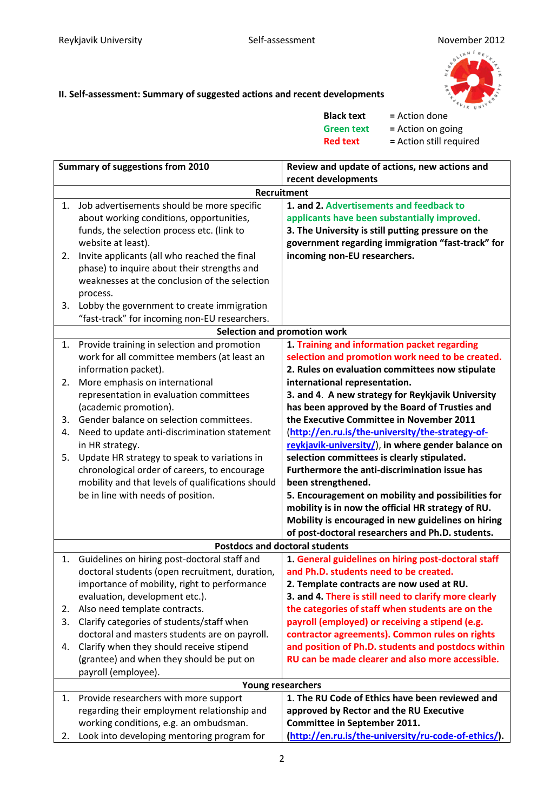

### **II. Self-assessment: Summary of suggested actions and recent developments**

| <b>Black text</b> | = Action done           |
|-------------------|-------------------------|
| <b>Green text</b> | = Action on going       |
| <b>Red text</b>   | = Action still required |

|    | <b>Summary of suggestions from 2010</b>           | Review and update of actions, new actions and         |
|----|---------------------------------------------------|-------------------------------------------------------|
|    |                                                   | recent developments                                   |
|    |                                                   | Recruitment                                           |
| 1. | Job advertisements should be more specific        | 1. and 2. Advertisements and feedback to              |
|    | about working conditions, opportunities,          | applicants have been substantially improved.          |
|    | funds, the selection process etc. (link to        | 3. The University is still putting pressure on the    |
|    | website at least).                                | government regarding immigration "fast-track" for     |
| 2. | Invite applicants (all who reached the final      | incoming non-EU researchers.                          |
|    | phase) to inquire about their strengths and       |                                                       |
|    | weaknesses at the conclusion of the selection     |                                                       |
|    | process.                                          |                                                       |
| 3. | Lobby the government to create immigration        |                                                       |
|    | "fast-track" for incoming non-EU researchers.     |                                                       |
|    |                                                   | Selection and promotion work                          |
|    | 1. Provide training in selection and promotion    | 1. Training and information packet regarding          |
|    | work for all committee members (at least an       | selection and promotion work need to be created.      |
|    | information packet).                              | 2. Rules on evaluation committees now stipulate       |
| 2. | More emphasis on international                    | international representation.                         |
|    | representation in evaluation committees           | 3. and 4. A new strategy for Reykjavik University     |
|    | (academic promotion).                             | has been approved by the Board of Trusties and        |
| 3. | Gender balance on selection committees.           | the Executive Committee in November 2011              |
| 4. | Need to update anti-discrimination statement      | (http://en.ru.is/the-university/the-strategy-of-      |
|    | in HR strategy.                                   | reykjavik-university/), in where gender balance on    |
| 5. | Update HR strategy to speak to variations in      | selection committees is clearly stipulated.           |
|    | chronological order of careers, to encourage      | Furthermore the anti-discrimination issue has         |
|    | mobility and that levels of qualifications should | been strengthened.                                    |
|    | be in line with needs of position.                | 5. Encouragement on mobility and possibilities for    |
|    |                                                   | mobility is in now the official HR strategy of RU.    |
|    |                                                   | Mobility is encouraged in new guidelines on hiring    |
|    |                                                   | of post-doctoral researchers and Ph.D. students.      |
|    |                                                   | <b>Postdocs and doctoral students</b>                 |
| 1. | Guidelines on hiring post-doctoral staff and      | 1. General guidelines on hiring post-doctoral staff   |
|    | doctoral students (open recruitment, duration,    | and Ph.D. students need to be created.                |
|    | importance of mobility, right to performance      | 2. Template contracts are now used at RU.             |
|    | evaluation, development etc.).                    | 3. and 4. There is still need to clarify more clearly |
| 2. | Also need template contracts.                     | the categories of staff when students are on the      |
| 3. | Clarify categories of students/staff when         | payroll (employed) or receiving a stipend (e.g.       |
|    | doctoral and masters students are on payroll.     | contractor agreements). Common rules on rights        |
| 4. | Clarify when they should receive stipend          | and position of Ph.D. students and postdocs within    |
|    | (grantee) and when they should be put on          | RU can be made clearer and also more accessible.      |
|    | payroll (employee).                               |                                                       |
|    |                                                   | Young researchers                                     |
| 1. | Provide researchers with more support             | 1. The RU Code of Ethics have been reviewed and       |
|    | regarding their employment relationship and       | approved by Rector and the RU Executive               |
|    | working conditions, e.g. an ombudsman.            | Committee in September 2011.                          |
| 2. | Look into developing mentoring program for        | (http://en.ru.is/the-university/ru-code-of-ethics/).  |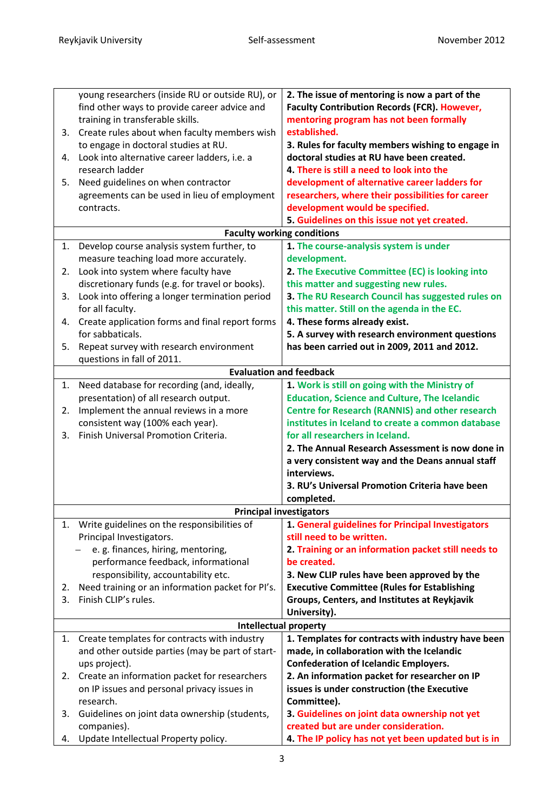| 3. | young researchers (inside RU or outside RU), or<br>find other ways to provide career advice and<br>training in transferable skills.<br>Create rules about when faculty members wish | 2. The issue of mentoring is now a part of the<br><b>Faculty Contribution Records (FCR). However,</b><br>mentoring program has not been formally<br>established. |
|----|-------------------------------------------------------------------------------------------------------------------------------------------------------------------------------------|------------------------------------------------------------------------------------------------------------------------------------------------------------------|
|    | to engage in doctoral studies at RU.                                                                                                                                                | 3. Rules for faculty members wishing to engage in                                                                                                                |
| 4. | Look into alternative career ladders, i.e. a                                                                                                                                        | doctoral studies at RU have been created.                                                                                                                        |
|    | research ladder                                                                                                                                                                     | 4. There is still a need to look into the                                                                                                                        |
| 5. | Need guidelines on when contractor                                                                                                                                                  | development of alternative career ladders for                                                                                                                    |
|    | agreements can be used in lieu of employment                                                                                                                                        | researchers, where their possibilities for career                                                                                                                |
|    | contracts.                                                                                                                                                                          | development would be specified.                                                                                                                                  |
|    |                                                                                                                                                                                     | 5. Guidelines on this issue not yet created.                                                                                                                     |
|    | <b>Faculty working conditions</b>                                                                                                                                                   |                                                                                                                                                                  |
| 1. | Develop course analysis system further, to                                                                                                                                          | 1. The course-analysis system is under                                                                                                                           |
|    | measure teaching load more accurately.                                                                                                                                              | development.                                                                                                                                                     |
| 2. | Look into system where faculty have                                                                                                                                                 | 2. The Executive Committee (EC) is looking into                                                                                                                  |
|    | discretionary funds (e.g. for travel or books).                                                                                                                                     | this matter and suggesting new rules.                                                                                                                            |
| 3. | Look into offering a longer termination period                                                                                                                                      | 3. The RU Research Council has suggested rules on                                                                                                                |
|    | for all faculty.                                                                                                                                                                    | this matter. Still on the agenda in the EC.                                                                                                                      |
| 4. | Create application forms and final report forms<br>for sabbaticals.                                                                                                                 | 4. These forms already exist.                                                                                                                                    |
| 5. |                                                                                                                                                                                     | 5. A survey with research environment questions                                                                                                                  |
|    | Repeat survey with research environment<br>questions in fall of 2011.                                                                                                               | has been carried out in 2009, 2011 and 2012.                                                                                                                     |
|    | <b>Evaluation and feedback</b>                                                                                                                                                      |                                                                                                                                                                  |
| 1. | Need database for recording (and, ideally,                                                                                                                                          | 1. Work is still on going with the Ministry of                                                                                                                   |
|    | presentation) of all research output.                                                                                                                                               | <b>Education, Science and Culture, The Icelandic</b>                                                                                                             |
| 2. | Implement the annual reviews in a more                                                                                                                                              | <b>Centre for Research (RANNIS) and other research</b>                                                                                                           |
|    | consistent way (100% each year).                                                                                                                                                    | institutes in Iceland to create a common database                                                                                                                |
| 3. | Finish Universal Promotion Criteria.                                                                                                                                                | for all researchers in Iceland.                                                                                                                                  |
|    |                                                                                                                                                                                     | 2. The Annual Research Assessment is now done in                                                                                                                 |
|    |                                                                                                                                                                                     | a very consistent way and the Deans annual staff                                                                                                                 |
|    |                                                                                                                                                                                     | interviews.                                                                                                                                                      |
|    |                                                                                                                                                                                     | 3. RU's Universal Promotion Criteria have been                                                                                                                   |
|    |                                                                                                                                                                                     | completed.                                                                                                                                                       |
|    | <b>Principal investigators</b>                                                                                                                                                      |                                                                                                                                                                  |
| 1. | Write guidelines on the responsibilities of                                                                                                                                         | 1. General guidelines for Principal Investigators                                                                                                                |
|    | Principal Investigators.                                                                                                                                                            | still need to be written.                                                                                                                                        |
|    | e. g. finances, hiring, mentoring,<br>performance feedback, informational                                                                                                           | 2. Training or an information packet still needs to<br>be created.                                                                                               |
|    | responsibility, accountability etc.                                                                                                                                                 | 3. New CLIP rules have been approved by the                                                                                                                      |
| 2. | Need training or an information packet for PI's.                                                                                                                                    | <b>Executive Committee (Rules for Establishing</b>                                                                                                               |
| 3. | Finish CLIP's rules.                                                                                                                                                                | Groups, Centers, and Institutes at Reykjavik                                                                                                                     |
|    |                                                                                                                                                                                     | University).                                                                                                                                                     |
|    | <b>Intellectual property</b>                                                                                                                                                        |                                                                                                                                                                  |
| 1. | Create templates for contracts with industry                                                                                                                                        | 1. Templates for contracts with industry have been                                                                                                               |
|    | and other outside parties (may be part of start-                                                                                                                                    | made, in collaboration with the Icelandic                                                                                                                        |
|    | ups project).                                                                                                                                                                       | <b>Confederation of Icelandic Employers.</b>                                                                                                                     |
| 2. | Create an information packet for researchers                                                                                                                                        | 2. An information packet for researcher on IP                                                                                                                    |
|    | on IP issues and personal privacy issues in                                                                                                                                         | issues is under construction (the Executive                                                                                                                      |
|    | research.                                                                                                                                                                           | Committee).                                                                                                                                                      |
| 3. | Guidelines on joint data ownership (students,                                                                                                                                       | 3. Guidelines on joint data ownership not yet                                                                                                                    |
|    | companies).                                                                                                                                                                         | created but are under consideration.                                                                                                                             |
| 4. | Update Intellectual Property policy.                                                                                                                                                | 4. The IP policy has not yet been updated but is in                                                                                                              |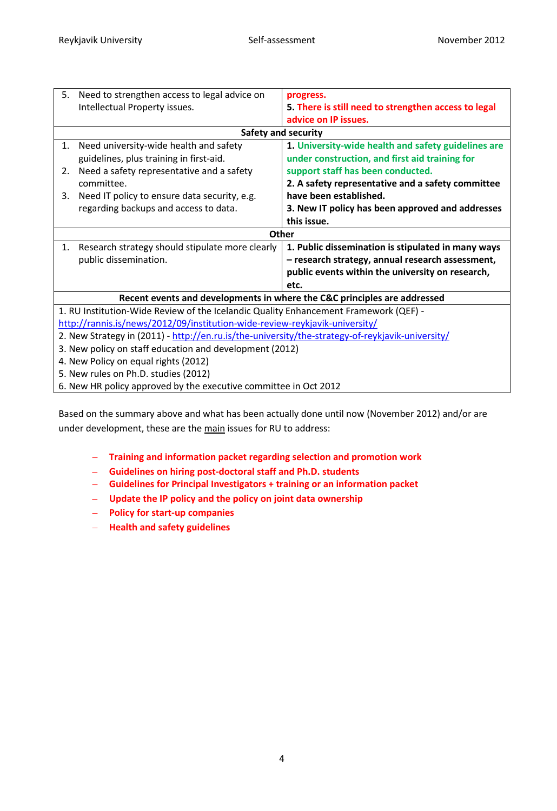| 5.                                                                                               | Need to strengthen access to legal advice on                                         | progress.                                            |  |
|--------------------------------------------------------------------------------------------------|--------------------------------------------------------------------------------------|------------------------------------------------------|--|
|                                                                                                  | Intellectual Property issues.                                                        | 5. There is still need to strengthen access to legal |  |
|                                                                                                  |                                                                                      | advice on IP issues.                                 |  |
|                                                                                                  |                                                                                      | <b>Safety and security</b>                           |  |
| 1.                                                                                               | Need university-wide health and safety                                               | 1. University-wide health and safety guidelines are  |  |
|                                                                                                  | guidelines, plus training in first-aid.                                              | under construction, and first aid training for       |  |
| 2.                                                                                               | Need a safety representative and a safety                                            | support staff has been conducted.                    |  |
|                                                                                                  | committee.                                                                           | 2. A safety representative and a safety committee    |  |
| 3.                                                                                               | Need IT policy to ensure data security, e.g.                                         | have been established.                               |  |
|                                                                                                  | regarding backups and access to data.                                                | 3. New IT policy has been approved and addresses     |  |
|                                                                                                  |                                                                                      | this issue.                                          |  |
|                                                                                                  | Other                                                                                |                                                      |  |
| 1.                                                                                               | Research strategy should stipulate more clearly                                      | 1. Public dissemination is stipulated in many ways   |  |
|                                                                                                  | public dissemination.                                                                | - research strategy, annual research assessment,     |  |
|                                                                                                  |                                                                                      | public events within the university on research,     |  |
|                                                                                                  |                                                                                      | etc.                                                 |  |
|                                                                                                  | Recent events and developments in where the C&C principles are addressed             |                                                      |  |
|                                                                                                  | 1. RU Institution-Wide Review of the Icelandic Quality Enhancement Framework (QEF) - |                                                      |  |
| http://rannis.is/news/2012/09/institution-wide-review-reykjavik-university/                      |                                                                                      |                                                      |  |
| 2. New Strategy in (2011) - http://en.ru.is/the-university/the-strategy-of-reykjavik-university/ |                                                                                      |                                                      |  |
| 3. New policy on staff education and development (2012)                                          |                                                                                      |                                                      |  |
| 4. New Policy on equal rights (2012)                                                             |                                                                                      |                                                      |  |
| 5. New rules on Ph.D. studies (2012)                                                             |                                                                                      |                                                      |  |
|                                                                                                  | 6. New HR policy approved by the executive committee in Oct 2012                     |                                                      |  |

Based on the summary above and what has been actually done until now (November 2012) and/or are under development, these are the main issues for RU to address:

- **Training and information packet regarding selection and promotion work**
- **Guidelines on hiring post-doctoral staff and Ph.D. students**
- **Guidelines for Principal Investigators + training or an information packet**
- **Update the IP policy and the policy on joint data ownership**
- **Policy for start-up companies**
- **Health and safety guidelines**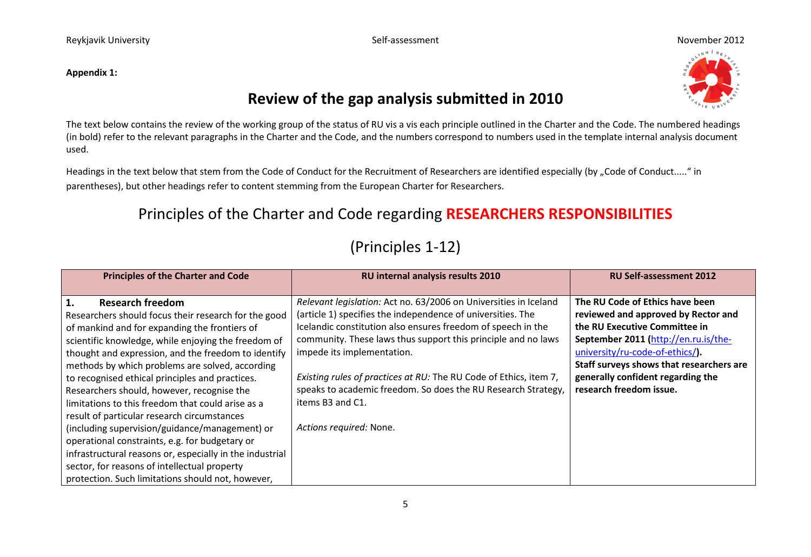#### **Appendix 1:**



### **Review of the gap analysis submitted in 2010**

The text below contains the review of the working group of the status of RU vis a vis each principle outlined in the Charter and the Code. The numbered headings (in bold) refer to the relevant paragraphs in the Charter and the Code, and the numbers correspond to numbers used in the template internal analysis document used.

Headings in the text below that stem from the Code of Conduct for the Recruitment of Researchers are identified especially (by "Code of Conduct....." in parentheses), but other headings refer to content stemming from the European Charter for Researchers.

### Principles of the Charter and Code regarding **RESEARCHERS RESPONSIBILITIES**

### (Principles 1-12)

| <b>Principles of the Charter and Code</b>                                                                                                                                                                                                                                                                                                                                                                                                                                                                                                                                                                                                                                                                                                                                         | RU internal analysis results 2010                                                                                                                                                                                                                                                                                                                                                                                                                                                   | <b>RU Self-assessment 2012</b>                                                                                                                                                                                                                                                                 |
|-----------------------------------------------------------------------------------------------------------------------------------------------------------------------------------------------------------------------------------------------------------------------------------------------------------------------------------------------------------------------------------------------------------------------------------------------------------------------------------------------------------------------------------------------------------------------------------------------------------------------------------------------------------------------------------------------------------------------------------------------------------------------------------|-------------------------------------------------------------------------------------------------------------------------------------------------------------------------------------------------------------------------------------------------------------------------------------------------------------------------------------------------------------------------------------------------------------------------------------------------------------------------------------|------------------------------------------------------------------------------------------------------------------------------------------------------------------------------------------------------------------------------------------------------------------------------------------------|
| 1.<br><b>Research freedom</b><br>Researchers should focus their research for the good<br>of mankind and for expanding the frontiers of<br>scientific knowledge, while enjoying the freedom of<br>thought and expression, and the freedom to identify<br>methods by which problems are solved, according<br>to recognised ethical principles and practices.<br>Researchers should, however, recognise the<br>limitations to this freedom that could arise as a<br>result of particular research circumstances<br>(including supervision/guidance/management) or<br>operational constraints, e.g. for budgetary or<br>infrastructural reasons or, especially in the industrial<br>sector, for reasons of intellectual property<br>protection. Such limitations should not, however, | Relevant legislation: Act no. 63/2006 on Universities in Iceland<br>(article 1) specifies the independence of universities. The<br>Icelandic constitution also ensures freedom of speech in the<br>community. These laws thus support this principle and no laws<br>impede its implementation.<br>Existing rules of practices at RU: The RU Code of Ethics, item 7,<br>speaks to academic freedom. So does the RU Research Strategy,<br>items B3 and C1.<br>Actions required: None. | The RU Code of Ethics have been<br>reviewed and approved by Rector and<br>the RU Executive Committee in<br>September 2011 (http://en.ru.is/the-<br>university/ru-code-of-ethics/).<br>Staff surveys shows that researchers are<br>generally confident regarding the<br>research freedom issue. |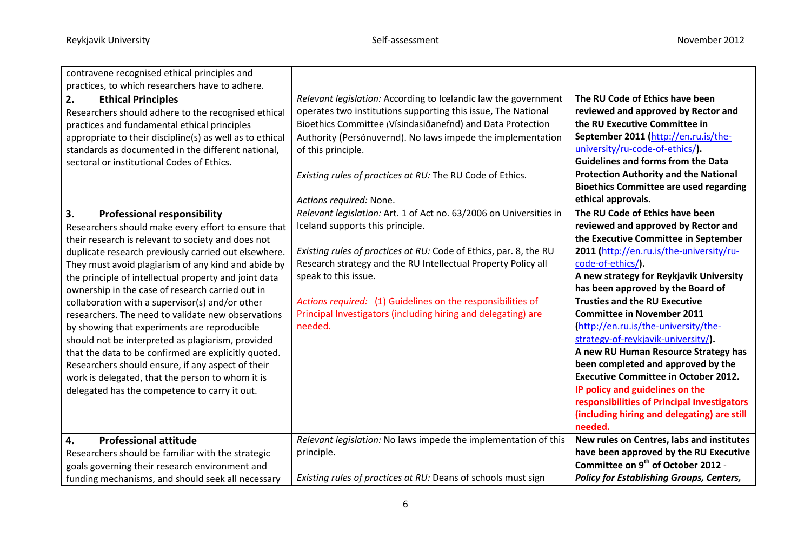| contravene recognised ethical principles and             |                                                                    |                                                 |
|----------------------------------------------------------|--------------------------------------------------------------------|-------------------------------------------------|
| practices, to which researchers have to adhere.          |                                                                    |                                                 |
| 2.<br><b>Ethical Principles</b>                          | Relevant legislation: According to Icelandic law the government    | The RU Code of Ethics have been                 |
| Researchers should adhere to the recognised ethical      | operates two institutions supporting this issue, The National      | reviewed and approved by Rector and             |
| practices and fundamental ethical principles             | Bioethics Committee (Vísindasiðanefnd) and Data Protection         | the RU Executive Committee in                   |
| appropriate to their discipline(s) as well as to ethical | Authority (Persónuvernd). No laws impede the implementation        | September 2011 (http://en.ru.is/the-            |
| standards as documented in the different national,       | of this principle.                                                 | university/ru-code-of-ethics/).                 |
| sectoral or institutional Codes of Ethics.               |                                                                    | <b>Guidelines and forms from the Data</b>       |
|                                                          | Existing rules of practices at RU: The RU Code of Ethics.          | <b>Protection Authority and the National</b>    |
|                                                          |                                                                    | <b>Bioethics Committee are used regarding</b>   |
|                                                          | Actions required: None.                                            | ethical approvals.                              |
| 3.<br><b>Professional responsibility</b>                 | Relevant legislation: Art. 1 of Act no. 63/2006 on Universities in | The RU Code of Ethics have been                 |
| Researchers should make every effort to ensure that      | Iceland supports this principle.                                   | reviewed and approved by Rector and             |
| their research is relevant to society and does not       |                                                                    | the Executive Committee in September            |
| duplicate research previously carried out elsewhere.     | Existing rules of practices at RU: Code of Ethics, par. 8, the RU  | 2011 (http://en.ru.is/the-university/ru-        |
| They must avoid plagiarism of any kind and abide by      | Research strategy and the RU Intellectual Property Policy all      | code-of-ethics/).                               |
| the principle of intellectual property and joint data    | speak to this issue.                                               | A new strategy for Reykjavik University         |
| ownership in the case of research carried out in         |                                                                    | has been approved by the Board of               |
| collaboration with a supervisor(s) and/or other          | Actions required: (1) Guidelines on the responsibilities of        | <b>Trusties and the RU Executive</b>            |
| researchers. The need to validate new observations       | Principal Investigators (including hiring and delegating) are      | <b>Committee in November 2011</b>               |
| by showing that experiments are reproducible             | needed.                                                            | (http://en.ru.is/the-university/the-            |
| should not be interpreted as plagiarism, provided        |                                                                    | strategy-of-reykjavik-university/).             |
| that the data to be confirmed are explicitly quoted.     |                                                                    | A new RU Human Resource Strategy has            |
| Researchers should ensure, if any aspect of their        |                                                                    | been completed and approved by the              |
| work is delegated, that the person to whom it is         |                                                                    | <b>Executive Committee in October 2012.</b>     |
| delegated has the competence to carry it out.            |                                                                    | IP policy and guidelines on the                 |
|                                                          |                                                                    | responsibilities of Principal Investigators     |
|                                                          |                                                                    | (including hiring and delegating) are still     |
|                                                          |                                                                    | needed.                                         |
| <b>Professional attitude</b><br>4.                       | Relevant legislation: No laws impede the implementation of this    | New rules on Centres, labs and institutes       |
| Researchers should be familiar with the strategic        | principle.                                                         | have been approved by the RU Executive          |
| goals governing their research environment and           |                                                                    | Committee on 9 <sup>th</sup> of October 2012 -  |
| funding mechanisms, and should seek all necessary        | Existing rules of practices at RU: Deans of schools must sign      | <b>Policy for Establishing Groups, Centers,</b> |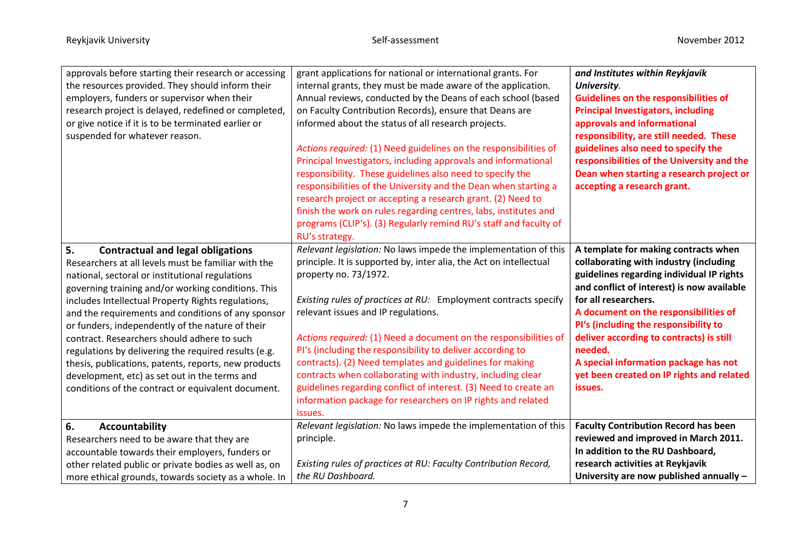| approvals before starting their research or accessing<br>the resources provided. They should inform their<br>employers, funders or supervisor when their<br>research project is delayed, redefined or completed,<br>or give notice if it is to be terminated earlier or<br>suspended for whatever reason.                                                                                                                                                                                                                                                                                                                                            | grant applications for national or international grants. For<br>internal grants, they must be made aware of the application.<br>Annual reviews, conducted by the Deans of each school (based<br>on Faculty Contribution Records), ensure that Deans are<br>informed about the status of all research projects.<br>Actions required: (1) Need guidelines on the responsibilities of<br>Principal Investigators, including approvals and informational<br>responsibility. These guidelines also need to specify the<br>responsibilities of the University and the Dean when starting a<br>research project or accepting a research grant. (2) Need to<br>finish the work on rules regarding centres, labs, institutes and<br>programs (CLIP's). (3) Regularly remind RU's staff and faculty of<br>RU's strategy. | and Institutes within Reykjavik<br>University.<br><b>Guidelines on the responsibilities of</b><br><b>Principal Investigators, including</b><br>approvals and informational<br>responsibility, are still needed. These<br>guidelines also need to specify the<br>responsibilities of the University and the<br>Dean when starting a research project or<br>accepting a research grant.                                                       |
|------------------------------------------------------------------------------------------------------------------------------------------------------------------------------------------------------------------------------------------------------------------------------------------------------------------------------------------------------------------------------------------------------------------------------------------------------------------------------------------------------------------------------------------------------------------------------------------------------------------------------------------------------|----------------------------------------------------------------------------------------------------------------------------------------------------------------------------------------------------------------------------------------------------------------------------------------------------------------------------------------------------------------------------------------------------------------------------------------------------------------------------------------------------------------------------------------------------------------------------------------------------------------------------------------------------------------------------------------------------------------------------------------------------------------------------------------------------------------|---------------------------------------------------------------------------------------------------------------------------------------------------------------------------------------------------------------------------------------------------------------------------------------------------------------------------------------------------------------------------------------------------------------------------------------------|
| 5.<br><b>Contractual and legal obligations</b><br>Researchers at all levels must be familiar with the<br>national, sectoral or institutional regulations<br>governing training and/or working conditions. This<br>includes Intellectual Property Rights regulations,<br>and the requirements and conditions of any sponsor<br>or funders, independently of the nature of their<br>contract. Researchers should adhere to such<br>regulations by delivering the required results (e.g.<br>thesis, publications, patents, reports, new products<br>development, etc) as set out in the terms and<br>conditions of the contract or equivalent document. | Relevant legislation: No laws impede the implementation of this<br>principle. It is supported by, inter alia, the Act on intellectual<br>property no. 73/1972.<br>Existing rules of practices at RU: Employment contracts specify<br>relevant issues and IP regulations.<br>Actions required: (1) Need a document on the responsibilities of<br>PI's (including the responsibility to deliver according to<br>contracts). (2) Need templates and guidelines for making<br>contracts when collaborating with industry, including clear<br>guidelines regarding conflict of interest. (3) Need to create an<br>information package for researchers on IP rights and related<br>issues.                                                                                                                           | A template for making contracts when<br>collaborating with industry (including<br>guidelines regarding individual IP rights<br>and conflict of interest) is now available<br>for all researchers.<br>A document on the responsibilities of<br>PI's (including the responsibility to<br>deliver according to contracts) is still<br>needed.<br>A special information package has not<br>yet been created on IP rights and related<br>issues. |
| 6.<br>Accountability<br>Researchers need to be aware that they are<br>accountable towards their employers, funders or<br>other related public or private bodies as well as, on<br>more ethical grounds, towards society as a whole. In                                                                                                                                                                                                                                                                                                                                                                                                               | Relevant legislation: No laws impede the implementation of this<br>principle.<br>Existing rules of practices at RU: Faculty Contribution Record,<br>the RU Dashboard.                                                                                                                                                                                                                                                                                                                                                                                                                                                                                                                                                                                                                                          | <b>Faculty Contribution Record has been</b><br>reviewed and improved in March 2011.<br>In addition to the RU Dashboard,<br>research activities at Reykjavik<br>University are now published annually -                                                                                                                                                                                                                                      |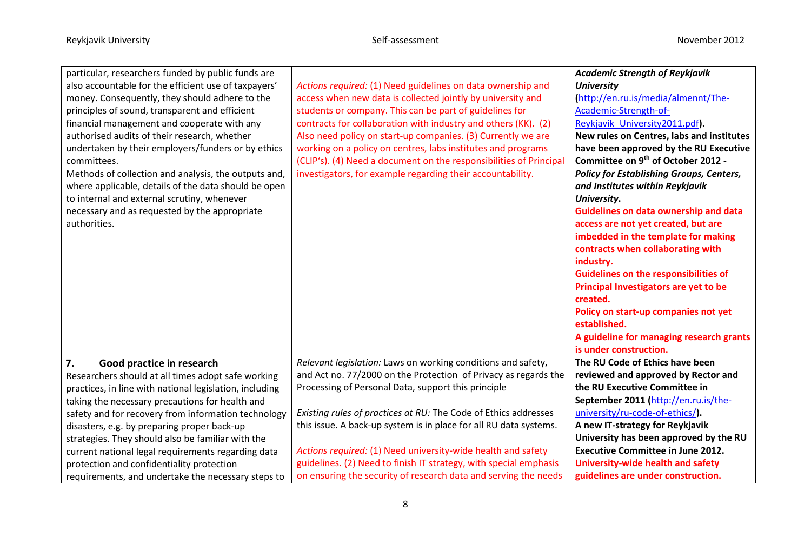<u> 1980 - Johann Barn, mars eta bainar eta baina eta baina eta baina eta baina eta baina eta baina eta baina e</u>

| particular, researchers funded by public funds are      |                                                                    | <b>Academic Strength of Reykjavik</b>           |
|---------------------------------------------------------|--------------------------------------------------------------------|-------------------------------------------------|
| also accountable for the efficient use of taxpayers'    | Actions required: (1) Need guidelines on data ownership and        | <b>University</b>                               |
| money. Consequently, they should adhere to the          | access when new data is collected jointly by university and        | (http://en.ru.is/media/almennt/The-             |
| principles of sound, transparent and efficient          | students or company. This can be part of guidelines for            | Academic-Strength-of-                           |
| financial management and cooperate with any             | contracts for collaboration with industry and others (KK). (2)     | Reykjavik University2011.pdf).                  |
| authorised audits of their research, whether            | Also need policy on start-up companies. (3) Currently we are       | New rules on Centres, labs and institutes       |
| undertaken by their employers/funders or by ethics      | working on a policy on centres, labs institutes and programs       | have been approved by the RU Executive          |
| committees.                                             | (CLIP's). (4) Need a document on the responsibilities of Principal | Committee on 9 <sup>th</sup> of October 2012 -  |
| Methods of collection and analysis, the outputs and,    | investigators, for example regarding their accountability.         | <b>Policy for Establishing Groups, Centers,</b> |
| where applicable, details of the data should be open    |                                                                    | and Institutes within Reykjavik                 |
| to internal and external scrutiny, whenever             |                                                                    | University.                                     |
| necessary and as requested by the appropriate           |                                                                    | <b>Guidelines on data ownership and data</b>    |
| authorities.                                            |                                                                    | access are not yet created, but are             |
|                                                         |                                                                    | imbedded in the template for making             |
|                                                         |                                                                    | contracts when collaborating with               |
|                                                         |                                                                    | industry.                                       |
|                                                         |                                                                    | <b>Guidelines on the responsibilities of</b>    |
|                                                         |                                                                    | Principal Investigators are yet to be           |
|                                                         |                                                                    | created.                                        |
|                                                         |                                                                    | Policy on start-up companies not yet            |
|                                                         |                                                                    | established.                                    |
|                                                         |                                                                    | A guideline for managing research grants        |
|                                                         |                                                                    | is under construction.                          |
| 7.<br>Good practice in research                         | Relevant legislation: Laws on working conditions and safety,       | The RU Code of Ethics have been                 |
| Researchers should at all times adopt safe working      | and Act no. 77/2000 on the Protection of Privacy as regards the    | reviewed and approved by Rector and             |
| practices, in line with national legislation, including | Processing of Personal Data, support this principle                | the RU Executive Committee in                   |
| taking the necessary precautions for health and         |                                                                    | September 2011 (http://en.ru.is/the-            |
| safety and for recovery from information technology     | Existing rules of practices at RU: The Code of Ethics addresses    | university/ru-code-of-ethics/).                 |
| disasters, e.g. by preparing proper back-up             | this issue. A back-up system is in place for all RU data systems.  | A new IT-strategy for Reykjavik                 |
| strategies. They should also be familiar with the       |                                                                    | University has been approved by the RU          |
| current national legal requirements regarding data      | Actions required: (1) Need university-wide health and safety       | <b>Executive Committee in June 2012.</b>        |
| protection and confidentiality protection               | guidelines. (2) Need to finish IT strategy, with special emphasis  | <b>University-wide health and safety</b>        |
| requirements, and undertake the necessary steps to      | on ensuring the security of research data and serving the needs    | guidelines are under construction.              |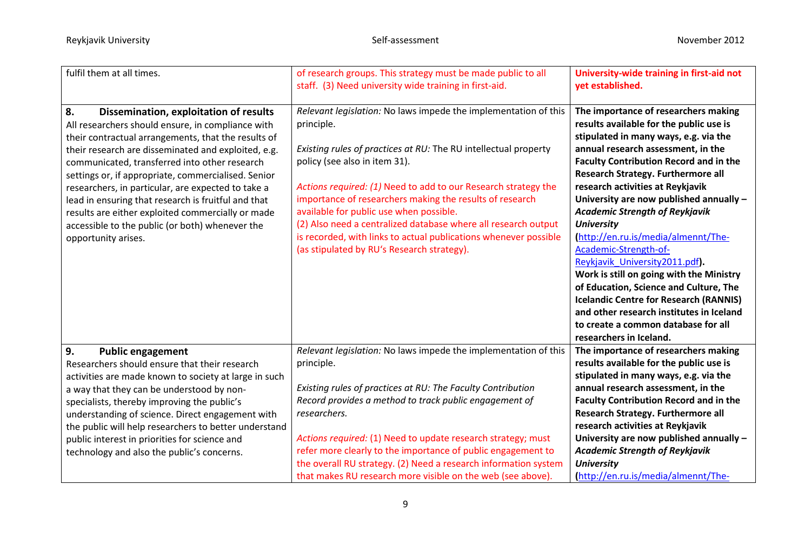| fulfil them at all times.                                                                                                                                                                                                                                                                                                                                                                                                                                                                                                                                           | of research groups. This strategy must be made public to all<br>staff. (3) Need university wide training in first-aid.                                                                                                                                                                                                                                                                                                                                                                                                                         | University-wide training in first-aid not<br>yet established.                                                                                                                                                                                                                                                                                                                                                                                                                                                                                                                                                                                                                                                                                            |
|---------------------------------------------------------------------------------------------------------------------------------------------------------------------------------------------------------------------------------------------------------------------------------------------------------------------------------------------------------------------------------------------------------------------------------------------------------------------------------------------------------------------------------------------------------------------|------------------------------------------------------------------------------------------------------------------------------------------------------------------------------------------------------------------------------------------------------------------------------------------------------------------------------------------------------------------------------------------------------------------------------------------------------------------------------------------------------------------------------------------------|----------------------------------------------------------------------------------------------------------------------------------------------------------------------------------------------------------------------------------------------------------------------------------------------------------------------------------------------------------------------------------------------------------------------------------------------------------------------------------------------------------------------------------------------------------------------------------------------------------------------------------------------------------------------------------------------------------------------------------------------------------|
| 8.<br>Dissemination, exploitation of results<br>All researchers should ensure, in compliance with<br>their contractual arrangements, that the results of<br>their research are disseminated and exploited, e.g.<br>communicated, transferred into other research<br>settings or, if appropriate, commercialised. Senior<br>researchers, in particular, are expected to take a<br>lead in ensuring that research is fruitful and that<br>results are either exploited commercially or made<br>accessible to the public (or both) whenever the<br>opportunity arises. | Relevant legislation: No laws impede the implementation of this<br>principle.<br>Existing rules of practices at RU: The RU intellectual property<br>policy (see also in item 31).<br>Actions required: (1) Need to add to our Research strategy the<br>importance of researchers making the results of research<br>available for public use when possible.<br>(2) Also need a centralized database where all research output<br>is recorded, with links to actual publications whenever possible<br>(as stipulated by RU's Research strategy). | The importance of researchers making<br>results available for the public use is<br>stipulated in many ways, e.g. via the<br>annual research assessment, in the<br><b>Faculty Contribution Record and in the</b><br>Research Strategy. Furthermore all<br>research activities at Reykjavik<br>University are now published annually -<br><b>Academic Strength of Reykjavik</b><br><b>University</b><br>http://en.ru.is/media/almennt/The-<br>Academic-Strength-of-<br>Reykjavik University2011.pdf).<br>Work is still on going with the Ministry<br>of Education, Science and Culture, The<br><b>Icelandic Centre for Research (RANNIS)</b><br>and other research institutes in Iceland<br>to create a common database for all<br>researchers in Iceland. |
| 9.<br><b>Public engagement</b><br>Researchers should ensure that their research<br>activities are made known to society at large in such<br>a way that they can be understood by non-<br>specialists, thereby improving the public's<br>understanding of science. Direct engagement with<br>the public will help researchers to better understand<br>public interest in priorities for science and<br>technology and also the public's concerns.                                                                                                                    | Relevant legislation: No laws impede the implementation of this<br>principle.<br>Existing rules of practices at RU: The Faculty Contribution<br>Record provides a method to track public engagement of<br>researchers.<br>Actions required: (1) Need to update research strategy; must<br>refer more clearly to the importance of public engagement to<br>the overall RU strategy. (2) Need a research information system<br>that makes RU research more visible on the web (see above).                                                       | The importance of researchers making<br>results available for the public use is<br>stipulated in many ways, e.g. via the<br>annual research assessment, in the<br><b>Faculty Contribution Record and in the</b><br>Research Strategy. Furthermore all<br>research activities at Reykjavik<br>University are now published annually -<br><b>Academic Strength of Reykjavik</b><br><b>University</b><br>http://en.ru.is/media/almennt/The-                                                                                                                                                                                                                                                                                                                 |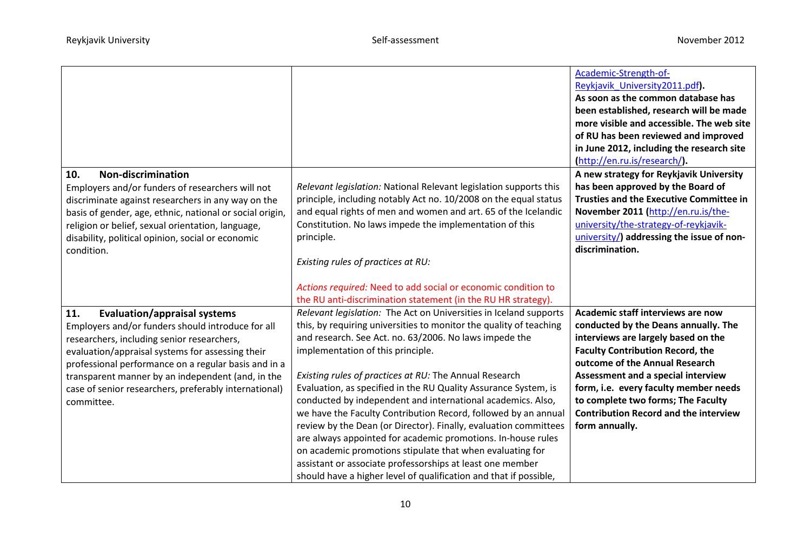| <b>Non-discrimination</b><br>10.<br>Employers and/or funders of researchers will not<br>discriminate against researchers in any way on the<br>basis of gender, age, ethnic, national or social origin,<br>religion or belief, sexual orientation, language,<br>disability, political opinion, social or economic<br>condition.                                                        | Relevant legislation: National Relevant legislation supports this<br>principle, including notably Act no. 10/2008 on the equal status<br>and equal rights of men and women and art. 65 of the Icelandic<br>Constitution. No laws impede the implementation of this<br>principle.<br>Existing rules of practices at RU:                                                                                                                                                                                                                                                                                                                                                                                                                                                                                                                  | Academic-Strength-of-<br>Reykjavik University2011.pdf).<br>As soon as the common database has<br>been established, research will be made<br>more visible and accessible. The web site<br>of RU has been reviewed and improved<br>in June 2012, including the research site<br>(http://en.ru.is/research/).<br>A new strategy for Reykjavik University<br>has been approved by the Board of<br><b>Trusties and the Executive Committee in</b><br>November 2011 (http://en.ru.is/the-<br>university/the-strategy-of-reykjavik-<br>university/) addressing the issue of non-<br>discrimination. |
|---------------------------------------------------------------------------------------------------------------------------------------------------------------------------------------------------------------------------------------------------------------------------------------------------------------------------------------------------------------------------------------|-----------------------------------------------------------------------------------------------------------------------------------------------------------------------------------------------------------------------------------------------------------------------------------------------------------------------------------------------------------------------------------------------------------------------------------------------------------------------------------------------------------------------------------------------------------------------------------------------------------------------------------------------------------------------------------------------------------------------------------------------------------------------------------------------------------------------------------------|----------------------------------------------------------------------------------------------------------------------------------------------------------------------------------------------------------------------------------------------------------------------------------------------------------------------------------------------------------------------------------------------------------------------------------------------------------------------------------------------------------------------------------------------------------------------------------------------|
|                                                                                                                                                                                                                                                                                                                                                                                       | Actions required: Need to add social or economic condition to<br>the RU anti-discrimination statement (in the RU HR strategy).                                                                                                                                                                                                                                                                                                                                                                                                                                                                                                                                                                                                                                                                                                          |                                                                                                                                                                                                                                                                                                                                                                                                                                                                                                                                                                                              |
| 11.<br><b>Evaluation/appraisal systems</b><br>Employers and/or funders should introduce for all<br>researchers, including senior researchers,<br>evaluation/appraisal systems for assessing their<br>professional performance on a regular basis and in a<br>transparent manner by an independent (and, in the<br>case of senior researchers, preferably international)<br>committee. | Relevant legislation: The Act on Universities in Iceland supports<br>this, by requiring universities to monitor the quality of teaching<br>and research. See Act. no. 63/2006. No laws impede the<br>implementation of this principle.<br>Existing rules of practices at RU: The Annual Research<br>Evaluation, as specified in the RU Quality Assurance System, is<br>conducted by independent and international academics. Also,<br>we have the Faculty Contribution Record, followed by an annual<br>review by the Dean (or Director). Finally, evaluation committees<br>are always appointed for academic promotions. In-house rules<br>on academic promotions stipulate that when evaluating for<br>assistant or associate professorships at least one member<br>should have a higher level of qualification and that if possible, | Academic staff interviews are now<br>conducted by the Deans annually. The<br>interviews are largely based on the<br><b>Faculty Contribution Record, the</b><br>outcome of the Annual Research<br>Assessment and a special interview<br>form, i.e. every faculty member needs<br>to complete two forms; The Faculty<br><b>Contribution Record and the interview</b><br>form annually.                                                                                                                                                                                                         |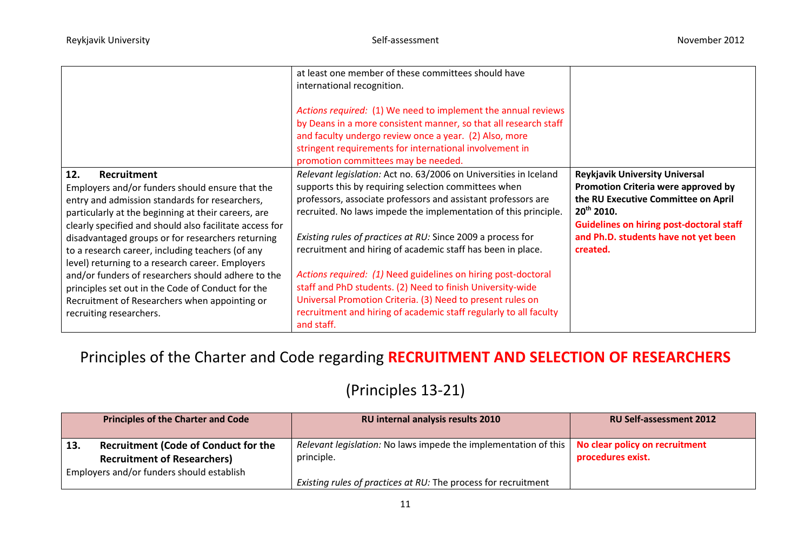|                                                                                                                                                                                                                                                                                                                                                                                                                                                                                                                                                                                               | at least one member of these committees should have<br>international recognition.<br>Actions required: (1) We need to implement the annual reviews<br>by Deans in a more consistent manner, so that all research staff<br>and faculty undergo review once a year. (2) Also, more<br>stringent requirements for international involvement in<br>promotion committees may be needed.                                                                                                                                                                                                                                                                                         |                                                                                                                                                                                                                                               |
|-----------------------------------------------------------------------------------------------------------------------------------------------------------------------------------------------------------------------------------------------------------------------------------------------------------------------------------------------------------------------------------------------------------------------------------------------------------------------------------------------------------------------------------------------------------------------------------------------|----------------------------------------------------------------------------------------------------------------------------------------------------------------------------------------------------------------------------------------------------------------------------------------------------------------------------------------------------------------------------------------------------------------------------------------------------------------------------------------------------------------------------------------------------------------------------------------------------------------------------------------------------------------------------|-----------------------------------------------------------------------------------------------------------------------------------------------------------------------------------------------------------------------------------------------|
| 12.<br>Recruitment<br>Employers and/or funders should ensure that the<br>entry and admission standards for researchers,<br>particularly at the beginning at their careers, are<br>clearly specified and should also facilitate access for<br>disadvantaged groups or for researchers returning<br>to a research career, including teachers (of any<br>level) returning to a research career. Employers<br>and/or funders of researchers should adhere to the<br>principles set out in the Code of Conduct for the<br>Recruitment of Researchers when appointing or<br>recruiting researchers. | Relevant legislation: Act no. 63/2006 on Universities in Iceland<br>supports this by requiring selection committees when<br>professors, associate professors and assistant professors are<br>recruited. No laws impede the implementation of this principle.<br>Existing rules of practices at RU: Since 2009 a process for<br>recruitment and hiring of academic staff has been in place.<br>Actions required: (1) Need guidelines on hiring post-doctoral<br>staff and PhD students. (2) Need to finish University-wide<br>Universal Promotion Criteria. (3) Need to present rules on<br>recruitment and hiring of academic staff regularly to all faculty<br>and staff. | <b>Reykjavik University Universal</b><br>Promotion Criteria were approved by<br>the RU Executive Committee on April<br>$20^{th}$ 2010.<br><b>Guidelines on hiring post-doctoral staff</b><br>and Ph.D. students have not yet been<br>created. |

Principles of the Charter and Code regarding **RECRUITMENT AND SELECTION OF RESEARCHERS**

## (Principles 13-21)

|     | <b>Principles of the Charter and Code</b>                                                                                      | RU internal analysis results 2010                                               | <b>RU Self-assessment 2012</b>                      |
|-----|--------------------------------------------------------------------------------------------------------------------------------|---------------------------------------------------------------------------------|-----------------------------------------------------|
| 13. | <b>Recruitment (Code of Conduct for the</b><br><b>Recruitment of Researchers)</b><br>Employers and/or funders should establish | Relevant legislation: No laws impede the implementation of this  <br>principle. | No clear policy on recruitment<br>procedures exist. |
|     |                                                                                                                                | Existing rules of practices at RU: The process for recruitment                  |                                                     |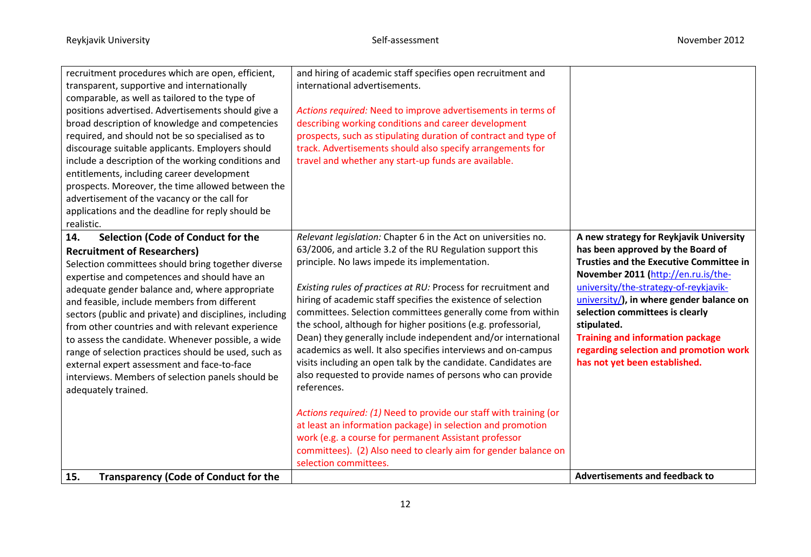| recruitment procedures which are open, efficient,<br>transparent, supportive and internationally<br>comparable, as well as tailored to the type of<br>positions advertised. Advertisements should give a<br>broad description of knowledge and competencies<br>required, and should not be so specialised as to<br>discourage suitable applicants. Employers should<br>include a description of the working conditions and<br>entitlements, including career development<br>prospects. Moreover, the time allowed between the<br>advertisement of the vacancy or the call for<br>applications and the deadline for reply should be<br>realistic. | and hiring of academic staff specifies open recruitment and<br>international advertisements.<br>Actions required: Need to improve advertisements in terms of<br>describing working conditions and career development<br>prospects, such as stipulating duration of contract and type of<br>track. Advertisements should also specify arrangements for<br>travel and whether any start-up funds are available.                                                                                                                                                                                                                                                                                                                                                                                                                                                                                                                                                                                                              |                                                                                                                                                                                                                                                                                                                                                                                                                                    |
|--------------------------------------------------------------------------------------------------------------------------------------------------------------------------------------------------------------------------------------------------------------------------------------------------------------------------------------------------------------------------------------------------------------------------------------------------------------------------------------------------------------------------------------------------------------------------------------------------------------------------------------------------|----------------------------------------------------------------------------------------------------------------------------------------------------------------------------------------------------------------------------------------------------------------------------------------------------------------------------------------------------------------------------------------------------------------------------------------------------------------------------------------------------------------------------------------------------------------------------------------------------------------------------------------------------------------------------------------------------------------------------------------------------------------------------------------------------------------------------------------------------------------------------------------------------------------------------------------------------------------------------------------------------------------------------|------------------------------------------------------------------------------------------------------------------------------------------------------------------------------------------------------------------------------------------------------------------------------------------------------------------------------------------------------------------------------------------------------------------------------------|
| 14.<br>Selection (Code of Conduct for the<br><b>Recruitment of Researchers)</b><br>Selection committees should bring together diverse<br>expertise and competences and should have an<br>adequate gender balance and, where appropriate<br>and feasible, include members from different<br>sectors (public and private) and disciplines, including<br>from other countries and with relevant experience<br>to assess the candidate. Whenever possible, a wide<br>range of selection practices should be used, such as<br>external expert assessment and face-to-face<br>interviews. Members of selection panels should be<br>adequately trained. | Relevant legislation: Chapter 6 in the Act on universities no.<br>63/2006, and article 3.2 of the RU Regulation support this<br>principle. No laws impede its implementation.<br>Existing rules of practices at RU: Process for recruitment and<br>hiring of academic staff specifies the existence of selection<br>committees. Selection committees generally come from within<br>the school, although for higher positions (e.g. professorial,<br>Dean) they generally include independent and/or international<br>academics as well. It also specifies interviews and on-campus<br>visits including an open talk by the candidate. Candidates are<br>also requested to provide names of persons who can provide<br>references.<br>Actions required: (1) Need to provide our staff with training (or<br>at least an information package) in selection and promotion<br>work (e.g. a course for permanent Assistant professor<br>committees). (2) Also need to clearly aim for gender balance on<br>selection committees. | A new strategy for Reykjavik University<br>has been approved by the Board of<br><b>Trusties and the Executive Committee in</b><br>November 2011 (http://en.ru.is/the-<br>university/the-strategy-of-reykjavik-<br>university/), in where gender balance on<br>selection committees is clearly<br>stipulated.<br><b>Training and information package</b><br>regarding selection and promotion work<br>has not yet been established. |
| <b>Transparency (Code of Conduct for the</b><br>15.                                                                                                                                                                                                                                                                                                                                                                                                                                                                                                                                                                                              |                                                                                                                                                                                                                                                                                                                                                                                                                                                                                                                                                                                                                                                                                                                                                                                                                                                                                                                                                                                                                            | <b>Advertisements and feedback to</b>                                                                                                                                                                                                                                                                                                                                                                                              |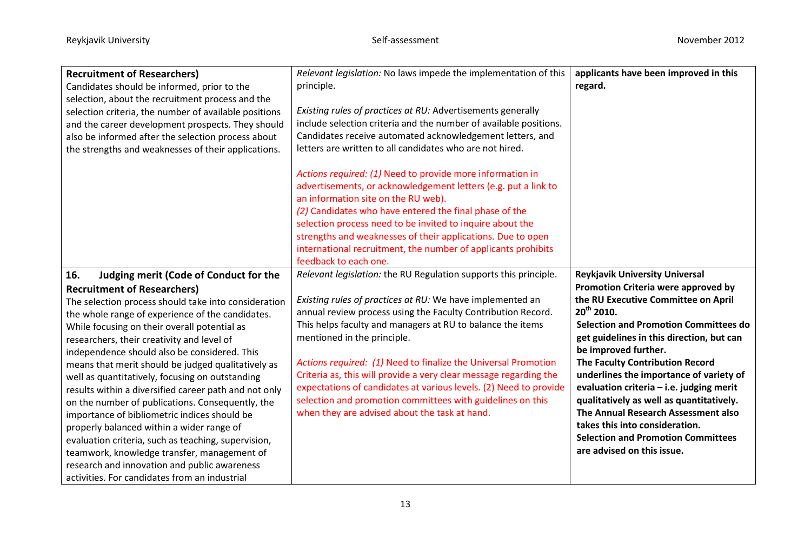| <b>Recruitment of Researchers)</b><br>Candidates should be informed, prior to the<br>selection, about the recruitment process and the                                                                                                                                                                                                                                                                                                                                                                                                                                  | Relevant legislation: No laws impede the implementation of this<br>principle.                                                                                                                                                                                                                                                                                                                                                                      | applicants have been improved in this<br>regard.                                                                                                                                                                                                                                                                       |
|------------------------------------------------------------------------------------------------------------------------------------------------------------------------------------------------------------------------------------------------------------------------------------------------------------------------------------------------------------------------------------------------------------------------------------------------------------------------------------------------------------------------------------------------------------------------|----------------------------------------------------------------------------------------------------------------------------------------------------------------------------------------------------------------------------------------------------------------------------------------------------------------------------------------------------------------------------------------------------------------------------------------------------|------------------------------------------------------------------------------------------------------------------------------------------------------------------------------------------------------------------------------------------------------------------------------------------------------------------------|
| selection criteria, the number of available positions<br>and the career development prospects. They should                                                                                                                                                                                                                                                                                                                                                                                                                                                             | Existing rules of practices at RU: Advertisements generally<br>include selection criteria and the number of available positions.                                                                                                                                                                                                                                                                                                                   |                                                                                                                                                                                                                                                                                                                        |
| also be informed after the selection process about<br>the strengths and weaknesses of their applications.                                                                                                                                                                                                                                                                                                                                                                                                                                                              | Candidates receive automated acknowledgement letters, and<br>letters are written to all candidates who are not hired.                                                                                                                                                                                                                                                                                                                              |                                                                                                                                                                                                                                                                                                                        |
|                                                                                                                                                                                                                                                                                                                                                                                                                                                                                                                                                                        | Actions required: (1) Need to provide more information in<br>advertisements, or acknowledgement letters (e.g. put a link to<br>an information site on the RU web).<br>(2) Candidates who have entered the final phase of the<br>selection process need to be invited to inquire about the<br>strengths and weaknesses of their applications. Due to open<br>international recruitment, the number of applicants prohibits<br>feedback to each one. |                                                                                                                                                                                                                                                                                                                        |
| 16.<br>Judging merit (Code of Conduct for the                                                                                                                                                                                                                                                                                                                                                                                                                                                                                                                          | Relevant legislation: the RU Regulation supports this principle.                                                                                                                                                                                                                                                                                                                                                                                   | <b>Reykjavik University Universal</b>                                                                                                                                                                                                                                                                                  |
| <b>Recruitment of Researchers)</b><br>The selection process should take into consideration                                                                                                                                                                                                                                                                                                                                                                                                                                                                             | Existing rules of practices at RU: We have implemented an                                                                                                                                                                                                                                                                                                                                                                                          | Promotion Criteria were approved by<br>the RU Executive Committee on April                                                                                                                                                                                                                                             |
| the whole range of experience of the candidates.<br>While focusing on their overall potential as<br>researchers, their creativity and level of                                                                                                                                                                                                                                                                                                                                                                                                                         | annual review process using the Faculty Contribution Record.<br>This helps faculty and managers at RU to balance the items<br>mentioned in the principle.                                                                                                                                                                                                                                                                                          | 20 <sup>th</sup> 2010.<br><b>Selection and Promotion Committees do</b><br>get guidelines in this direction, but can<br>be improved further.                                                                                                                                                                            |
| independence should also be considered. This<br>means that merit should be judged qualitatively as<br>well as quantitatively, focusing on outstanding<br>results within a diversified career path and not only<br>on the number of publications. Consequently, the<br>importance of bibliometric indices should be<br>properly balanced within a wider range of<br>evaluation criteria, such as teaching, supervision,<br>teamwork, knowledge transfer, management of<br>research and innovation and public awareness<br>activities. For candidates from an industrial | Actions required: (1) Need to finalize the Universal Promotion<br>Criteria as, this will provide a very clear message regarding the<br>expectations of candidates at various levels. (2) Need to provide<br>selection and promotion committees with guidelines on this<br>when they are advised about the task at hand.                                                                                                                            | The Faculty Contribution Record<br>underlines the importance of variety of<br>evaluation criteria - i.e. judging merit<br>qualitatively as well as quantitatively.<br>The Annual Research Assessment also<br>takes this into consideration.<br><b>Selection and Promotion Committees</b><br>are advised on this issue. |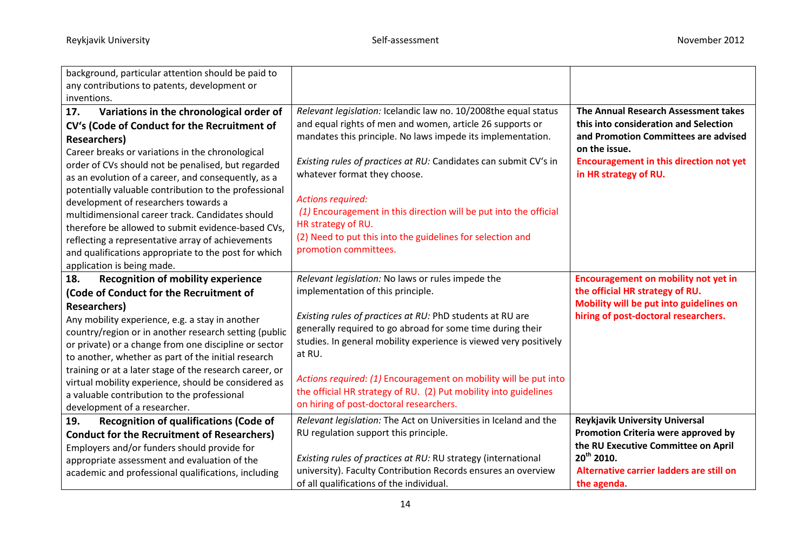| background, particular attention should be paid to<br>any contributions to patents, development or                                                                                                                                                                                                                                                                                                                                                                                                                                                |                                                                                                                                                                                                                                                                                                                                                                                                                                                                                     |                                                                                                                                                                                                          |
|---------------------------------------------------------------------------------------------------------------------------------------------------------------------------------------------------------------------------------------------------------------------------------------------------------------------------------------------------------------------------------------------------------------------------------------------------------------------------------------------------------------------------------------------------|-------------------------------------------------------------------------------------------------------------------------------------------------------------------------------------------------------------------------------------------------------------------------------------------------------------------------------------------------------------------------------------------------------------------------------------------------------------------------------------|----------------------------------------------------------------------------------------------------------------------------------------------------------------------------------------------------------|
| inventions.<br>Variations in the chronological order of<br>17.                                                                                                                                                                                                                                                                                                                                                                                                                                                                                    | Relevant legislation: Icelandic law no. 10/2008the equal status                                                                                                                                                                                                                                                                                                                                                                                                                     | The Annual Research Assessment takes                                                                                                                                                                     |
| CV's (Code of Conduct for the Recruitment of<br><b>Researchers</b> )<br>Career breaks or variations in the chronological                                                                                                                                                                                                                                                                                                                                                                                                                          | and equal rights of men and women, article 26 supports or<br>mandates this principle. No laws impede its implementation.                                                                                                                                                                                                                                                                                                                                                            | this into consideration and Selection<br>and Promotion Committees are advised<br>on the issue.                                                                                                           |
| order of CVs should not be penalised, but regarded<br>as an evolution of a career, and consequently, as a<br>potentially valuable contribution to the professional                                                                                                                                                                                                                                                                                                                                                                                | Existing rules of practices at RU: Candidates can submit CV's in<br>whatever format they choose.                                                                                                                                                                                                                                                                                                                                                                                    | <b>Encouragement in this direction not yet</b><br>in HR strategy of RU.                                                                                                                                  |
| development of researchers towards a<br>multidimensional career track. Candidates should<br>therefore be allowed to submit evidence-based CVs,<br>reflecting a representative array of achievements<br>and qualifications appropriate to the post for which<br>application is being made.                                                                                                                                                                                                                                                         | <b>Actions required:</b><br>(1) Encouragement in this direction will be put into the official<br>HR strategy of RU.<br>(2) Need to put this into the guidelines for selection and<br>promotion committees.                                                                                                                                                                                                                                                                          |                                                                                                                                                                                                          |
| <b>Recognition of mobility experience</b><br>18.<br>(Code of Conduct for the Recruitment of<br><b>Researchers</b> )<br>Any mobility experience, e.g. a stay in another<br>country/region or in another research setting (public<br>or private) or a change from one discipline or sector<br>to another, whether as part of the initial research<br>training or at a later stage of the research career, or<br>virtual mobility experience, should be considered as<br>a valuable contribution to the professional<br>development of a researcher. | Relevant legislation: No laws or rules impede the<br>implementation of this principle.<br>Existing rules of practices at RU: PhD students at RU are<br>generally required to go abroad for some time during their<br>studies. In general mobility experience is viewed very positively<br>at RU.<br>Actions required: (1) Encouragement on mobility will be put into<br>the official HR strategy of RU. (2) Put mobility into guidelines<br>on hiring of post-doctoral researchers. | <b>Encouragement on mobility not yet in</b><br>the official HR strategy of RU.<br>Mobility will be put into guidelines on<br>hiring of post-doctoral researchers.                                        |
| <b>Recognition of qualifications (Code of</b><br>19.<br><b>Conduct for the Recruitment of Researchers)</b><br>Employers and/or funders should provide for<br>appropriate assessment and evaluation of the<br>academic and professional qualifications, including                                                                                                                                                                                                                                                                                  | Relevant legislation: The Act on Universities in Iceland and the<br>RU regulation support this principle.<br>Existing rules of practices at RU: RU strategy (international<br>university). Faculty Contribution Records ensures an overview<br>of all qualifications of the individual.                                                                                                                                                                                             | <b>Reykjavik University Universal</b><br>Promotion Criteria were approved by<br>the RU Executive Committee on April<br>20 <sup>th</sup> 2010.<br>Alternative carrier ladders are still on<br>the agenda. |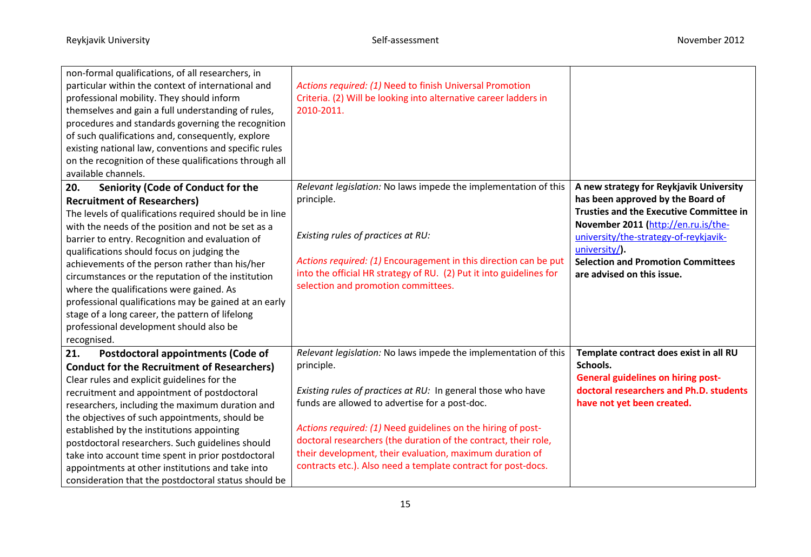| non-formal qualifications, of all researchers, in<br>particular within the context of international and<br>professional mobility. They should inform<br>themselves and gain a full understanding of rules,<br>procedures and standards governing the recognition<br>of such qualifications and, consequently, explore<br>existing national law, conventions and specific rules<br>on the recognition of these qualifications through all<br>available channels. | Actions required: (1) Need to finish Universal Promotion<br>Criteria. (2) Will be looking into alternative career ladders in<br>2010-2011. |                                                                              |
|-----------------------------------------------------------------------------------------------------------------------------------------------------------------------------------------------------------------------------------------------------------------------------------------------------------------------------------------------------------------------------------------------------------------------------------------------------------------|--------------------------------------------------------------------------------------------------------------------------------------------|------------------------------------------------------------------------------|
| 20.<br>Seniority (Code of Conduct for the                                                                                                                                                                                                                                                                                                                                                                                                                       | Relevant legislation: No laws impede the implementation of this                                                                            | A new strategy for Reykjavik University                                      |
| <b>Recruitment of Researchers)</b>                                                                                                                                                                                                                                                                                                                                                                                                                              | principle.                                                                                                                                 | has been approved by the Board of                                            |
| The levels of qualifications required should be in line                                                                                                                                                                                                                                                                                                                                                                                                         |                                                                                                                                            | <b>Trusties and the Executive Committee in</b>                               |
| with the needs of the position and not be set as a                                                                                                                                                                                                                                                                                                                                                                                                              | Existing rules of practices at RU:                                                                                                         | November 2011 (http://en.ru.is/the-<br>university/the-strategy-of-reykjavik- |
| barrier to entry. Recognition and evaluation of<br>qualifications should focus on judging the                                                                                                                                                                                                                                                                                                                                                                   |                                                                                                                                            | university/).                                                                |
| achievements of the person rather than his/her                                                                                                                                                                                                                                                                                                                                                                                                                  | Actions required: (1) Encouragement in this direction can be put                                                                           | <b>Selection and Promotion Committees</b>                                    |
| circumstances or the reputation of the institution                                                                                                                                                                                                                                                                                                                                                                                                              | into the official HR strategy of RU. (2) Put it into guidelines for                                                                        | are advised on this issue.                                                   |
| where the qualifications were gained. As                                                                                                                                                                                                                                                                                                                                                                                                                        | selection and promotion committees.                                                                                                        |                                                                              |
| professional qualifications may be gained at an early                                                                                                                                                                                                                                                                                                                                                                                                           |                                                                                                                                            |                                                                              |
| stage of a long career, the pattern of lifelong                                                                                                                                                                                                                                                                                                                                                                                                                 |                                                                                                                                            |                                                                              |
| professional development should also be                                                                                                                                                                                                                                                                                                                                                                                                                         |                                                                                                                                            |                                                                              |
| recognised.                                                                                                                                                                                                                                                                                                                                                                                                                                                     |                                                                                                                                            |                                                                              |
| 21.<br><b>Postdoctoral appointments (Code of</b>                                                                                                                                                                                                                                                                                                                                                                                                                | Relevant legislation: No laws impede the implementation of this                                                                            | Template contract does exist in all RU<br>Schools.                           |
| <b>Conduct for the Recruitment of Researchers)</b>                                                                                                                                                                                                                                                                                                                                                                                                              | principle.                                                                                                                                 | <b>General guidelines on hiring post-</b>                                    |
| Clear rules and explicit guidelines for the                                                                                                                                                                                                                                                                                                                                                                                                                     | Existing rules of practices at RU: In general those who have                                                                               | doctoral researchers and Ph.D. students                                      |
| recruitment and appointment of postdoctoral<br>researchers, including the maximum duration and                                                                                                                                                                                                                                                                                                                                                                  | funds are allowed to advertise for a post-doc.                                                                                             | have not yet been created.                                                   |
| the objectives of such appointments, should be                                                                                                                                                                                                                                                                                                                                                                                                                  |                                                                                                                                            |                                                                              |
| established by the institutions appointing                                                                                                                                                                                                                                                                                                                                                                                                                      | Actions required: (1) Need guidelines on the hiring of post-                                                                               |                                                                              |
| postdoctoral researchers. Such guidelines should                                                                                                                                                                                                                                                                                                                                                                                                                | doctoral researchers (the duration of the contract, their role,                                                                            |                                                                              |
| take into account time spent in prior postdoctoral                                                                                                                                                                                                                                                                                                                                                                                                              | their development, their evaluation, maximum duration of                                                                                   |                                                                              |
| appointments at other institutions and take into                                                                                                                                                                                                                                                                                                                                                                                                                | contracts etc.). Also need a template contract for post-docs.                                                                              |                                                                              |
| consideration that the postdoctoral status should be                                                                                                                                                                                                                                                                                                                                                                                                            |                                                                                                                                            |                                                                              |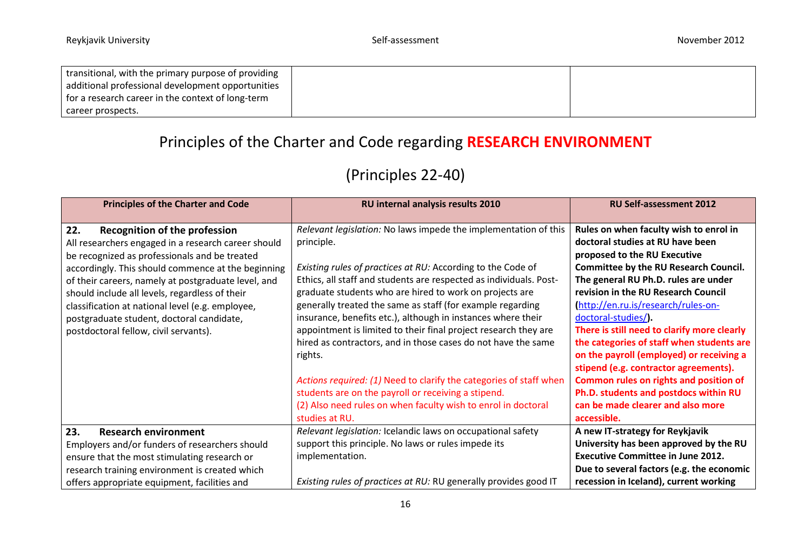| transitional, with the primary purpose of providing |  |
|-----------------------------------------------------|--|
| additional professional development opportunities   |  |
| for a research career in the context of long-term   |  |
| career prospects.                                   |  |

# Principles of the Charter and Code regarding **RESEARCH ENVIRONMENT**

# (Principles 22-40)

| <b>Principles of the Charter and Code</b>                                                                                                                                                                                                                                                                                                                                                                                                                    | RU internal analysis results 2010                                                                                                                                                                                                                                                                                                                                                                                                                                                                                                                                                                                                                                                                                                                                          | <b>RU Self-assessment 2012</b>                                                                                                                                                                                                                                                                                                                                                                                                                                                                                                                                                                                                 |
|--------------------------------------------------------------------------------------------------------------------------------------------------------------------------------------------------------------------------------------------------------------------------------------------------------------------------------------------------------------------------------------------------------------------------------------------------------------|----------------------------------------------------------------------------------------------------------------------------------------------------------------------------------------------------------------------------------------------------------------------------------------------------------------------------------------------------------------------------------------------------------------------------------------------------------------------------------------------------------------------------------------------------------------------------------------------------------------------------------------------------------------------------------------------------------------------------------------------------------------------------|--------------------------------------------------------------------------------------------------------------------------------------------------------------------------------------------------------------------------------------------------------------------------------------------------------------------------------------------------------------------------------------------------------------------------------------------------------------------------------------------------------------------------------------------------------------------------------------------------------------------------------|
| 22.<br><b>Recognition of the profession</b><br>All researchers engaged in a research career should<br>be recognized as professionals and be treated<br>accordingly. This should commence at the beginning<br>of their careers, namely at postgraduate level, and<br>should include all levels, regardless of their<br>classification at national level (e.g. employee,<br>postgraduate student, doctoral candidate,<br>postdoctoral fellow, civil servants). | Relevant legislation: No laws impede the implementation of this<br>principle.<br>Existing rules of practices at RU: According to the Code of<br>Ethics, all staff and students are respected as individuals. Post-<br>graduate students who are hired to work on projects are<br>generally treated the same as staff (for example regarding<br>insurance, benefits etc.), although in instances where their<br>appointment is limited to their final project research they are<br>hired as contractors, and in those cases do not have the same<br>rights.<br>Actions required: (1) Need to clarify the categories of staff when<br>students are on the payroll or receiving a stipend.<br>(2) Also need rules on when faculty wish to enrol in doctoral<br>studies at RU. | Rules on when faculty wish to enrol in<br>doctoral studies at RU have been<br>proposed to the RU Executive<br><b>Committee by the RU Research Council.</b><br>The general RU Ph.D. rules are under<br>revision in the RU Research Council<br>http://en.ru.is/research/rules-on-<br>doctoral-studies/).<br>There is still need to clarify more clearly<br>the categories of staff when students are<br>on the payroll (employed) or receiving a<br>stipend (e.g. contractor agreements).<br>Common rules on rights and position of<br>Ph.D. students and postdocs within RU<br>can be made clearer and also more<br>accessible. |
| 23.<br><b>Research environment</b><br>Employers and/or funders of researchers should<br>ensure that the most stimulating research or<br>research training environment is created which<br>offers appropriate equipment, facilities and                                                                                                                                                                                                                       | Relevant legislation: Icelandic laws on occupational safety<br>support this principle. No laws or rules impede its<br>implementation.<br>Existing rules of practices at RU: RU generally provides good IT                                                                                                                                                                                                                                                                                                                                                                                                                                                                                                                                                                  | A new IT-strategy for Reykjavik<br>University has been approved by the RU<br><b>Executive Committee in June 2012.</b><br>Due to several factors (e.g. the economic<br>recession in Iceland), current working                                                                                                                                                                                                                                                                                                                                                                                                                   |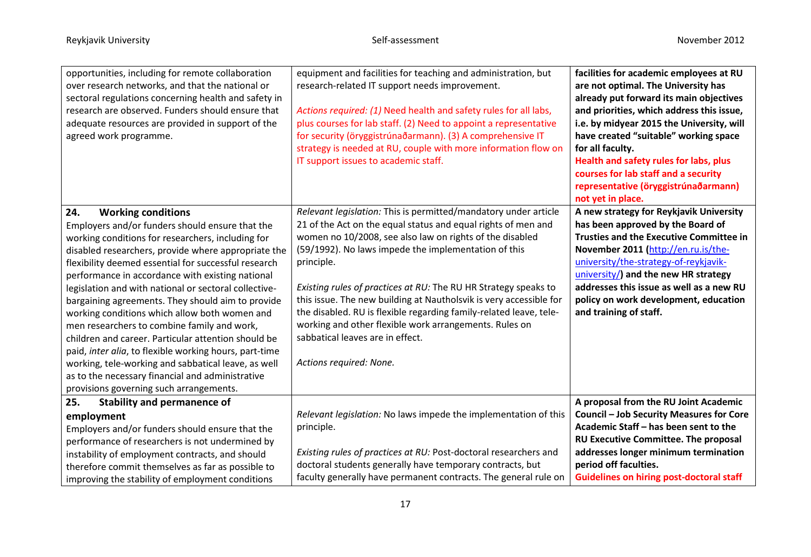| opportunities, including for remote collaboration<br>over research networks, and that the national or<br>sectoral regulations concerning health and safety in<br>research are observed. Funders should ensure that<br>adequate resources are provided in support of the<br>agreed work programme.                                                                                                                                                                                                                                                                                                                                                                                                                                                                                                | equipment and facilities for teaching and administration, but<br>research-related IT support needs improvement.<br>Actions required: (1) Need health and safety rules for all labs,<br>plus courses for lab staff. (2) Need to appoint a representative<br>for security (öryggistrúnaðarmann). (3) A comprehensive IT<br>strategy is needed at RU, couple with more information flow on<br>IT support issues to academic staff.                                                                                                                                                                            | facilities for academic employees at RU<br>are not optimal. The University has<br>already put forward its main objectives<br>and priorities, which address this issue,<br>i.e. by midyear 2015 the University, will<br>have created "suitable" working space<br>for all faculty.<br>Health and safety rules for labs, plus<br>courses for lab staff and a security<br>representative (öryggistrúnaðarmann) |
|--------------------------------------------------------------------------------------------------------------------------------------------------------------------------------------------------------------------------------------------------------------------------------------------------------------------------------------------------------------------------------------------------------------------------------------------------------------------------------------------------------------------------------------------------------------------------------------------------------------------------------------------------------------------------------------------------------------------------------------------------------------------------------------------------|------------------------------------------------------------------------------------------------------------------------------------------------------------------------------------------------------------------------------------------------------------------------------------------------------------------------------------------------------------------------------------------------------------------------------------------------------------------------------------------------------------------------------------------------------------------------------------------------------------|------------------------------------------------------------------------------------------------------------------------------------------------------------------------------------------------------------------------------------------------------------------------------------------------------------------------------------------------------------------------------------------------------------|
| 24.<br><b>Working conditions</b><br>Employers and/or funders should ensure that the<br>working conditions for researchers, including for<br>disabled researchers, provide where appropriate the<br>flexibility deemed essential for successful research<br>performance in accordance with existing national<br>legislation and with national or sectoral collective-<br>bargaining agreements. They should aim to provide<br>working conditions which allow both women and<br>men researchers to combine family and work,<br>children and career. Particular attention should be<br>paid, inter alia, to flexible working hours, part-time<br>working, tele-working and sabbatical leave, as well<br>as to the necessary financial and administrative<br>provisions governing such arrangements. | Relevant legislation: This is permitted/mandatory under article<br>21 of the Act on the equal status and equal rights of men and<br>women no 10/2008, see also law on rights of the disabled<br>(59/1992). No laws impede the implementation of this<br>principle.<br>Existing rules of practices at RU: The RU HR Strategy speaks to<br>this issue. The new building at Nautholsvik is very accessible for<br>the disabled. RU is flexible regarding family-related leave, tele-<br>working and other flexible work arrangements. Rules on<br>sabbatical leaves are in effect.<br>Actions required: None. | not yet in place.<br>A new strategy for Reykjavik University<br>has been approved by the Board of<br><b>Trusties and the Executive Committee in</b><br>November 2011 (http://en.ru.is/the-<br>university/the-strategy-of-reykjavik-<br>university/) and the new HR strategy<br>addresses this issue as well as a new RU<br>policy on work development, education<br>and training of staff.                 |
| <b>Stability and permanence of</b><br>25.<br>employment<br>Employers and/or funders should ensure that the<br>performance of researchers is not undermined by<br>instability of employment contracts, and should<br>therefore commit themselves as far as possible to<br>improving the stability of employment conditions                                                                                                                                                                                                                                                                                                                                                                                                                                                                        | Relevant legislation: No laws impede the implementation of this<br>principle.<br>Existing rules of practices at RU: Post-doctoral researchers and<br>doctoral students generally have temporary contracts, but<br>faculty generally have permanent contracts. The general rule on                                                                                                                                                                                                                                                                                                                          | A proposal from the RU Joint Academic<br>Council - Job Security Measures for Core<br>Academic Staff - has been sent to the<br>RU Executive Committee. The proposal<br>addresses longer minimum termination<br>period off faculties.<br><b>Guidelines on hiring post-doctoral staff</b>                                                                                                                     |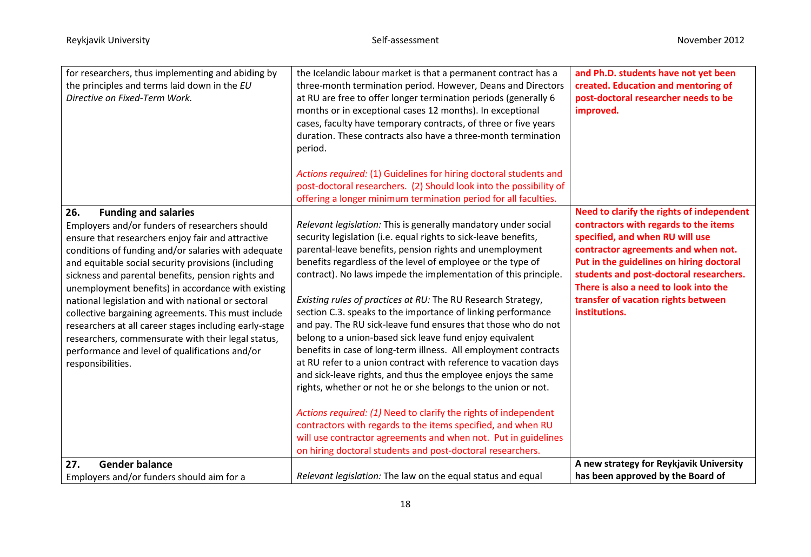| for researchers, thus implementing and abiding by<br>the principles and terms laid down in the EU<br>Directive on Fixed-Term Work.                                                                                                                                                                                                                                                                                                                                                                                                                                                                                                                                      | the Icelandic labour market is that a permanent contract has a<br>three-month termination period. However, Deans and Directors<br>at RU are free to offer longer termination periods (generally 6<br>months or in exceptional cases 12 months). In exceptional<br>cases, faculty have temporary contracts, of three or five years<br>duration. These contracts also have a three-month termination<br>period.                                                                                                                                                                                                                                                                                                                                                                                                                                                       | and Ph.D. students have not yet been<br>created. Education and mentoring of<br>post-doctoral researcher needs to be<br>improved.                                                                                                                                                                                                                     |
|-------------------------------------------------------------------------------------------------------------------------------------------------------------------------------------------------------------------------------------------------------------------------------------------------------------------------------------------------------------------------------------------------------------------------------------------------------------------------------------------------------------------------------------------------------------------------------------------------------------------------------------------------------------------------|---------------------------------------------------------------------------------------------------------------------------------------------------------------------------------------------------------------------------------------------------------------------------------------------------------------------------------------------------------------------------------------------------------------------------------------------------------------------------------------------------------------------------------------------------------------------------------------------------------------------------------------------------------------------------------------------------------------------------------------------------------------------------------------------------------------------------------------------------------------------|------------------------------------------------------------------------------------------------------------------------------------------------------------------------------------------------------------------------------------------------------------------------------------------------------------------------------------------------------|
|                                                                                                                                                                                                                                                                                                                                                                                                                                                                                                                                                                                                                                                                         | Actions required: (1) Guidelines for hiring doctoral students and<br>post-doctoral researchers. (2) Should look into the possibility of                                                                                                                                                                                                                                                                                                                                                                                                                                                                                                                                                                                                                                                                                                                             |                                                                                                                                                                                                                                                                                                                                                      |
|                                                                                                                                                                                                                                                                                                                                                                                                                                                                                                                                                                                                                                                                         | offering a longer minimum termination period for all faculties.                                                                                                                                                                                                                                                                                                                                                                                                                                                                                                                                                                                                                                                                                                                                                                                                     |                                                                                                                                                                                                                                                                                                                                                      |
| 26.<br><b>Funding and salaries</b><br>Employers and/or funders of researchers should<br>ensure that researchers enjoy fair and attractive<br>conditions of funding and/or salaries with adequate<br>and equitable social security provisions (including<br>sickness and parental benefits, pension rights and<br>unemployment benefits) in accordance with existing<br>national legislation and with national or sectoral<br>collective bargaining agreements. This must include<br>researchers at all career stages including early-stage<br>researchers, commensurate with their legal status,<br>performance and level of qualifications and/or<br>responsibilities. | Relevant legislation: This is generally mandatory under social<br>security legislation (i.e. equal rights to sick-leave benefits,<br>parental-leave benefits, pension rights and unemployment<br>benefits regardless of the level of employee or the type of<br>contract). No laws impede the implementation of this principle.<br>Existing rules of practices at RU: The RU Research Strategy,<br>section C.3. speaks to the importance of linking performance<br>and pay. The RU sick-leave fund ensures that those who do not<br>belong to a union-based sick leave fund enjoy equivalent<br>benefits in case of long-term illness. All employment contracts<br>at RU refer to a union contract with reference to vacation days<br>and sick-leave rights, and thus the employee enjoys the same<br>rights, whether or not he or she belongs to the union or not. | Need to clarify the rights of independent<br>contractors with regards to the items<br>specified, and when RU will use<br>contractor agreements and when not.<br>Put in the guidelines on hiring doctoral<br>students and post-doctoral researchers.<br>There is also a need to look into the<br>transfer of vacation rights between<br>institutions. |
|                                                                                                                                                                                                                                                                                                                                                                                                                                                                                                                                                                                                                                                                         | Actions required: (1) Need to clarify the rights of independent<br>contractors with regards to the items specified, and when RU<br>will use contractor agreements and when not. Put in guidelines<br>on hiring doctoral students and post-doctoral researchers.                                                                                                                                                                                                                                                                                                                                                                                                                                                                                                                                                                                                     |                                                                                                                                                                                                                                                                                                                                                      |
| <b>Gender balance</b><br>27.                                                                                                                                                                                                                                                                                                                                                                                                                                                                                                                                                                                                                                            |                                                                                                                                                                                                                                                                                                                                                                                                                                                                                                                                                                                                                                                                                                                                                                                                                                                                     | A new strategy for Reykjavik University                                                                                                                                                                                                                                                                                                              |
| Employers and/or funders should aim for a                                                                                                                                                                                                                                                                                                                                                                                                                                                                                                                                                                                                                               | Relevant legislation: The law on the equal status and equal                                                                                                                                                                                                                                                                                                                                                                                                                                                                                                                                                                                                                                                                                                                                                                                                         | has been approved by the Board of                                                                                                                                                                                                                                                                                                                    |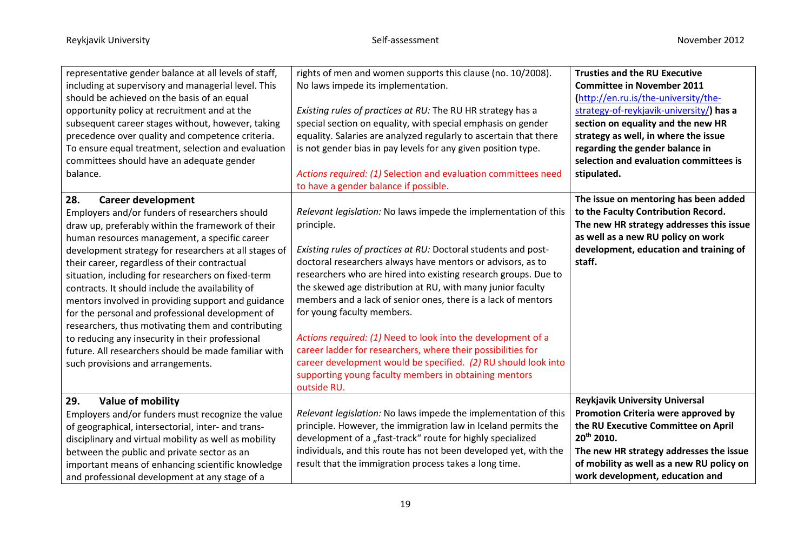| representative gender balance at all levels of staff,<br>including at supervisory and managerial level. This<br>should be achieved on the basis of an equal<br>opportunity policy at recruitment and at the<br>subsequent career stages without, however, taking<br>precedence over quality and competence criteria.<br>To ensure equal treatment, selection and evaluation<br>committees should have an adequate gender<br>balance.                                                                                                                                                                                                                                                                                          | rights of men and women supports this clause (no. 10/2008).<br>No laws impede its implementation.<br>Existing rules of practices at RU: The RU HR strategy has a<br>special section on equality, with special emphasis on gender<br>equality. Salaries are analyzed regularly to ascertain that there<br>is not gender bias in pay levels for any given position type.<br>Actions required: (1) Selection and evaluation committees need<br>to have a gender balance if possible.                                                                                                                                                                                                                                         | <b>Trusties and the RU Executive</b><br><b>Committee in November 2011</b><br>(http://en.ru.is/the-university/the-<br>strategy-of-reykjavik-university/) has a<br>section on equality and the new HR<br>strategy as well, in where the issue<br>regarding the gender balance in<br>selection and evaluation committees is<br>stipulated. |
|-------------------------------------------------------------------------------------------------------------------------------------------------------------------------------------------------------------------------------------------------------------------------------------------------------------------------------------------------------------------------------------------------------------------------------------------------------------------------------------------------------------------------------------------------------------------------------------------------------------------------------------------------------------------------------------------------------------------------------|---------------------------------------------------------------------------------------------------------------------------------------------------------------------------------------------------------------------------------------------------------------------------------------------------------------------------------------------------------------------------------------------------------------------------------------------------------------------------------------------------------------------------------------------------------------------------------------------------------------------------------------------------------------------------------------------------------------------------|-----------------------------------------------------------------------------------------------------------------------------------------------------------------------------------------------------------------------------------------------------------------------------------------------------------------------------------------|
| 28.<br><b>Career development</b><br>Employers and/or funders of researchers should<br>draw up, preferably within the framework of their<br>human resources management, a specific career<br>development strategy for researchers at all stages of<br>their career, regardless of their contractual<br>situation, including for researchers on fixed-term<br>contracts. It should include the availability of<br>mentors involved in providing support and guidance<br>for the personal and professional development of<br>researchers, thus motivating them and contributing<br>to reducing any insecurity in their professional<br>future. All researchers should be made familiar with<br>such provisions and arrangements. | Relevant legislation: No laws impede the implementation of this<br>principle.<br>Existing rules of practices at RU: Doctoral students and post-<br>doctoral researchers always have mentors or advisors, as to<br>researchers who are hired into existing research groups. Due to<br>the skewed age distribution at RU, with many junior faculty<br>members and a lack of senior ones, there is a lack of mentors<br>for young faculty members.<br>Actions required: (1) Need to look into the development of a<br>career ladder for researchers, where their possibilities for<br>career development would be specified. (2) RU should look into<br>supporting young faculty members in obtaining mentors<br>outside RU. | The issue on mentoring has been added<br>to the Faculty Contribution Record.<br>The new HR strategy addresses this issue<br>as well as a new RU policy on work<br>development, education and training of<br>staff.                                                                                                                      |
| 29.<br><b>Value of mobility</b><br>Employers and/or funders must recognize the value<br>of geographical, intersectorial, inter- and trans-<br>disciplinary and virtual mobility as well as mobility<br>between the public and private sector as an<br>important means of enhancing scientific knowledge<br>and professional development at any stage of a                                                                                                                                                                                                                                                                                                                                                                     | Relevant legislation: No laws impede the implementation of this<br>principle. However, the immigration law in Iceland permits the<br>development of a "fast-track" route for highly specialized<br>individuals, and this route has not been developed yet, with the<br>result that the immigration process takes a long time.                                                                                                                                                                                                                                                                                                                                                                                             | <b>Reykjavik University Universal</b><br>Promotion Criteria were approved by<br>the RU Executive Committee on April<br>20 <sup>th</sup> 2010.<br>The new HR strategy addresses the issue<br>of mobility as well as a new RU policy on<br>work development, education and                                                                |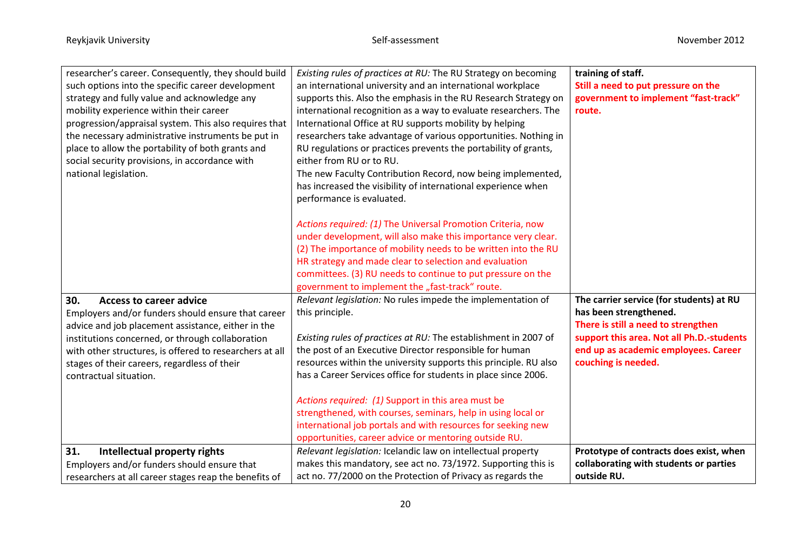| researcher's career. Consequently, they should build    | Existing rules of practices at RU: The RU Strategy on becoming   | training of staff.                        |
|---------------------------------------------------------|------------------------------------------------------------------|-------------------------------------------|
| such options into the specific career development       | an international university and an international workplace       | Still a need to put pressure on the       |
| strategy and fully value and acknowledge any            | supports this. Also the emphasis in the RU Research Strategy on  | government to implement "fast-track"      |
| mobility experience within their career                 | international recognition as a way to evaluate researchers. The  | route.                                    |
| progression/appraisal system. This also requires that   | International Office at RU supports mobility by helping          |                                           |
| the necessary administrative instruments be put in      | researchers take advantage of various opportunities. Nothing in  |                                           |
| place to allow the portability of both grants and       | RU regulations or practices prevents the portability of grants,  |                                           |
| social security provisions, in accordance with          | either from RU or to RU.                                         |                                           |
| national legislation.                                   | The new Faculty Contribution Record, now being implemented,      |                                           |
|                                                         | has increased the visibility of international experience when    |                                           |
|                                                         | performance is evaluated.                                        |                                           |
|                                                         |                                                                  |                                           |
|                                                         | Actions required: (1) The Universal Promotion Criteria, now      |                                           |
|                                                         | under development, will also make this importance very clear.    |                                           |
|                                                         | (2) The importance of mobility needs to be written into the RU   |                                           |
|                                                         | HR strategy and made clear to selection and evaluation           |                                           |
|                                                         | committees. (3) RU needs to continue to put pressure on the      |                                           |
|                                                         | government to implement the "fast-track" route.                  |                                           |
|                                                         |                                                                  |                                           |
| 30.<br><b>Access to career advice</b>                   | Relevant legislation: No rules impede the implementation of      | The carrier service (for students) at RU  |
| Employers and/or funders should ensure that career      | this principle.                                                  | has been strengthened.                    |
| advice and job placement assistance, either in the      |                                                                  | There is still a need to strengthen       |
| institutions concerned, or through collaboration        | Existing rules of practices at RU: The establishment in 2007 of  | support this area. Not all Ph.D.-students |
| with other structures, is offered to researchers at all | the post of an Executive Director responsible for human          | end up as academic employees. Career      |
| stages of their careers, regardless of their            | resources within the university supports this principle. RU also | couching is needed.                       |
| contractual situation.                                  | has a Career Services office for students in place since 2006.   |                                           |
|                                                         |                                                                  |                                           |
|                                                         | Actions required: (1) Support in this area must be               |                                           |
|                                                         | strengthened, with courses, seminars, help in using local or     |                                           |
|                                                         | international job portals and with resources for seeking new     |                                           |
|                                                         | opportunities, career advice or mentoring outside RU.            |                                           |
| 31.<br>Intellectual property rights                     | Relevant legislation: Icelandic law on intellectual property     | Prototype of contracts does exist, when   |
| Employers and/or funders should ensure that             | makes this mandatory, see act no. 73/1972. Supporting this is    | collaborating with students or parties    |
| researchers at all career stages reap the benefits of   | act no. 77/2000 on the Protection of Privacy as regards the      | outside RU.                               |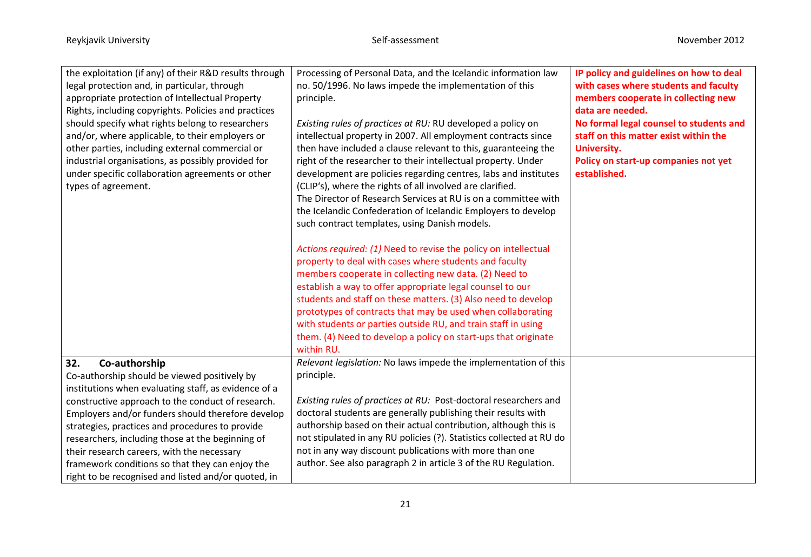| the exploitation (if any) of their R&D results through<br>legal protection and, in particular, through<br>appropriate protection of Intellectual Property<br>Rights, including copyrights. Policies and practices<br>should specify what rights belong to researchers<br>and/or, where applicable, to their employers or<br>other parties, including external commercial or<br>industrial organisations, as possibly provided for<br>under specific collaboration agreements or other<br>types of agreement. | Processing of Personal Data, and the Icelandic information law<br>no. 50/1996. No laws impede the implementation of this<br>principle.<br>Existing rules of practices at RU: RU developed a policy on<br>intellectual property in 2007. All employment contracts since<br>then have included a clause relevant to this, guaranteeing the<br>right of the researcher to their intellectual property. Under<br>development are policies regarding centres, labs and institutes<br>(CLIP's), where the rights of all involved are clarified.<br>The Director of Research Services at RU is on a committee with<br>the Icelandic Confederation of Icelandic Employers to develop<br>such contract templates, using Danish models.<br>Actions required: (1) Need to revise the policy on intellectual<br>property to deal with cases where students and faculty<br>members cooperate in collecting new data. (2) Need to<br>establish a way to offer appropriate legal counsel to our<br>students and staff on these matters. (3) Also need to develop<br>prototypes of contracts that may be used when collaborating<br>with students or parties outside RU, and train staff in using<br>them. (4) Need to develop a policy on start-ups that originate<br>within RU. | IP policy and guidelines on how to deal<br>with cases where students and faculty<br>members cooperate in collecting new<br>data are needed.<br>No formal legal counsel to students and<br>staff on this matter exist within the<br><b>University.</b><br>Policy on start-up companies not yet<br>established. |
|--------------------------------------------------------------------------------------------------------------------------------------------------------------------------------------------------------------------------------------------------------------------------------------------------------------------------------------------------------------------------------------------------------------------------------------------------------------------------------------------------------------|-------------------------------------------------------------------------------------------------------------------------------------------------------------------------------------------------------------------------------------------------------------------------------------------------------------------------------------------------------------------------------------------------------------------------------------------------------------------------------------------------------------------------------------------------------------------------------------------------------------------------------------------------------------------------------------------------------------------------------------------------------------------------------------------------------------------------------------------------------------------------------------------------------------------------------------------------------------------------------------------------------------------------------------------------------------------------------------------------------------------------------------------------------------------------------------------------------------------------------------------------------------------|---------------------------------------------------------------------------------------------------------------------------------------------------------------------------------------------------------------------------------------------------------------------------------------------------------------|
| 32.<br>Co-authorship                                                                                                                                                                                                                                                                                                                                                                                                                                                                                         | Relevant legislation: No laws impede the implementation of this                                                                                                                                                                                                                                                                                                                                                                                                                                                                                                                                                                                                                                                                                                                                                                                                                                                                                                                                                                                                                                                                                                                                                                                                   |                                                                                                                                                                                                                                                                                                               |
| Co-authorship should be viewed positively by<br>institutions when evaluating staff, as evidence of a                                                                                                                                                                                                                                                                                                                                                                                                         | principle.                                                                                                                                                                                                                                                                                                                                                                                                                                                                                                                                                                                                                                                                                                                                                                                                                                                                                                                                                                                                                                                                                                                                                                                                                                                        |                                                                                                                                                                                                                                                                                                               |
| constructive approach to the conduct of research.<br>Employers and/or funders should therefore develop                                                                                                                                                                                                                                                                                                                                                                                                       | Existing rules of practices at RU: Post-doctoral researchers and<br>doctoral students are generally publishing their results with                                                                                                                                                                                                                                                                                                                                                                                                                                                                                                                                                                                                                                                                                                                                                                                                                                                                                                                                                                                                                                                                                                                                 |                                                                                                                                                                                                                                                                                                               |
| strategies, practices and procedures to provide                                                                                                                                                                                                                                                                                                                                                                                                                                                              | authorship based on their actual contribution, although this is                                                                                                                                                                                                                                                                                                                                                                                                                                                                                                                                                                                                                                                                                                                                                                                                                                                                                                                                                                                                                                                                                                                                                                                                   |                                                                                                                                                                                                                                                                                                               |
| researchers, including those at the beginning of                                                                                                                                                                                                                                                                                                                                                                                                                                                             | not stipulated in any RU policies (?). Statistics collected at RU do                                                                                                                                                                                                                                                                                                                                                                                                                                                                                                                                                                                                                                                                                                                                                                                                                                                                                                                                                                                                                                                                                                                                                                                              |                                                                                                                                                                                                                                                                                                               |
| their research careers, with the necessary<br>framework conditions so that they can enjoy the                                                                                                                                                                                                                                                                                                                                                                                                                | not in any way discount publications with more than one<br>author. See also paragraph 2 in article 3 of the RU Regulation.                                                                                                                                                                                                                                                                                                                                                                                                                                                                                                                                                                                                                                                                                                                                                                                                                                                                                                                                                                                                                                                                                                                                        |                                                                                                                                                                                                                                                                                                               |
| right to be recognised and listed and/or quoted, in                                                                                                                                                                                                                                                                                                                                                                                                                                                          |                                                                                                                                                                                                                                                                                                                                                                                                                                                                                                                                                                                                                                                                                                                                                                                                                                                                                                                                                                                                                                                                                                                                                                                                                                                                   |                                                                                                                                                                                                                                                                                                               |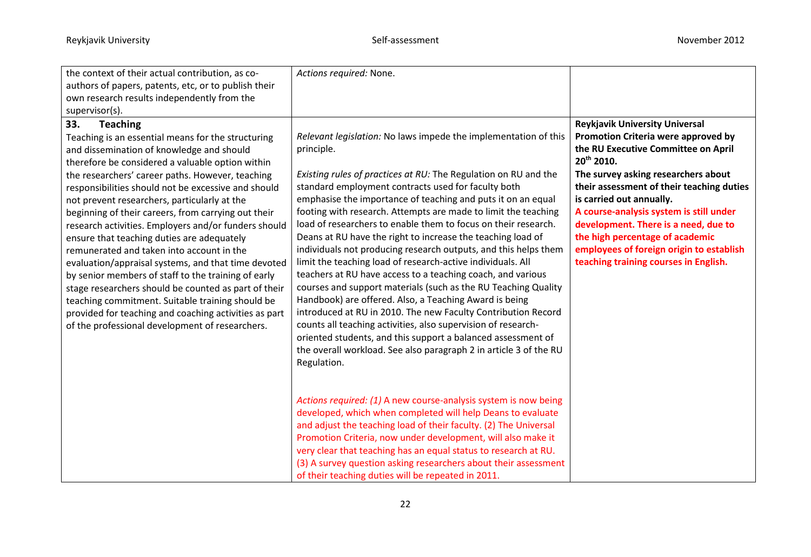| the context of their actual contribution, as co-<br>authors of papers, patents, etc, or to publish their<br>own research results independently from the                                                                                                                                                                                                                                                                                                                                                                                                                                                                                                                                                                                                                                                                                                                                                    | Actions required: None.                                                                                                                                                                                                                                                                                                                                                                                                                                                                                                                                                                                                                                                                                                                                                                                                                                                                                                                                                                                                                                                                       |                                                                                                                                                                                                                                                                                                                                                                                                                                                                          |
|------------------------------------------------------------------------------------------------------------------------------------------------------------------------------------------------------------------------------------------------------------------------------------------------------------------------------------------------------------------------------------------------------------------------------------------------------------------------------------------------------------------------------------------------------------------------------------------------------------------------------------------------------------------------------------------------------------------------------------------------------------------------------------------------------------------------------------------------------------------------------------------------------------|-----------------------------------------------------------------------------------------------------------------------------------------------------------------------------------------------------------------------------------------------------------------------------------------------------------------------------------------------------------------------------------------------------------------------------------------------------------------------------------------------------------------------------------------------------------------------------------------------------------------------------------------------------------------------------------------------------------------------------------------------------------------------------------------------------------------------------------------------------------------------------------------------------------------------------------------------------------------------------------------------------------------------------------------------------------------------------------------------|--------------------------------------------------------------------------------------------------------------------------------------------------------------------------------------------------------------------------------------------------------------------------------------------------------------------------------------------------------------------------------------------------------------------------------------------------------------------------|
| supervisor(s).<br>33.<br><b>Teaching</b><br>Teaching is an essential means for the structuring<br>and dissemination of knowledge and should<br>therefore be considered a valuable option within<br>the researchers' career paths. However, teaching<br>responsibilities should not be excessive and should<br>not prevent researchers, particularly at the<br>beginning of their careers, from carrying out their<br>research activities. Employers and/or funders should<br>ensure that teaching duties are adequately<br>remunerated and taken into account in the<br>evaluation/appraisal systems, and that time devoted<br>by senior members of staff to the training of early<br>stage researchers should be counted as part of their<br>teaching commitment. Suitable training should be<br>provided for teaching and coaching activities as part<br>of the professional development of researchers. | Relevant legislation: No laws impede the implementation of this<br>principle.<br>Existing rules of practices at RU: The Regulation on RU and the<br>standard employment contracts used for faculty both<br>emphasise the importance of teaching and puts it on an equal<br>footing with research. Attempts are made to limit the teaching<br>load of researchers to enable them to focus on their research.<br>Deans at RU have the right to increase the teaching load of<br>individuals not producing research outputs, and this helps them<br>limit the teaching load of research-active individuals. All<br>teachers at RU have access to a teaching coach, and various<br>courses and support materials (such as the RU Teaching Quality<br>Handbook) are offered. Also, a Teaching Award is being<br>introduced at RU in 2010. The new Faculty Contribution Record<br>counts all teaching activities, also supervision of research-<br>oriented students, and this support a balanced assessment of<br>the overall workload. See also paragraph 2 in article 3 of the RU<br>Regulation. | <b>Reykjavik University Universal</b><br>Promotion Criteria were approved by<br>the RU Executive Committee on April<br>20 <sup>th</sup> 2010.<br>The survey asking researchers about<br>their assessment of their teaching duties<br>is carried out annually.<br>A course-analysis system is still under<br>development. There is a need, due to<br>the high percentage of academic<br>employees of foreign origin to establish<br>teaching training courses in English. |
|                                                                                                                                                                                                                                                                                                                                                                                                                                                                                                                                                                                                                                                                                                                                                                                                                                                                                                            | Actions required: (1) A new course-analysis system is now being<br>developed, which when completed will help Deans to evaluate<br>and adjust the teaching load of their faculty. (2) The Universal<br>Promotion Criteria, now under development, will also make it<br>very clear that teaching has an equal status to research at RU.<br>(3) A survey question asking researchers about their assessment<br>of their teaching duties will be repeated in 2011.                                                                                                                                                                                                                                                                                                                                                                                                                                                                                                                                                                                                                                |                                                                                                                                                                                                                                                                                                                                                                                                                                                                          |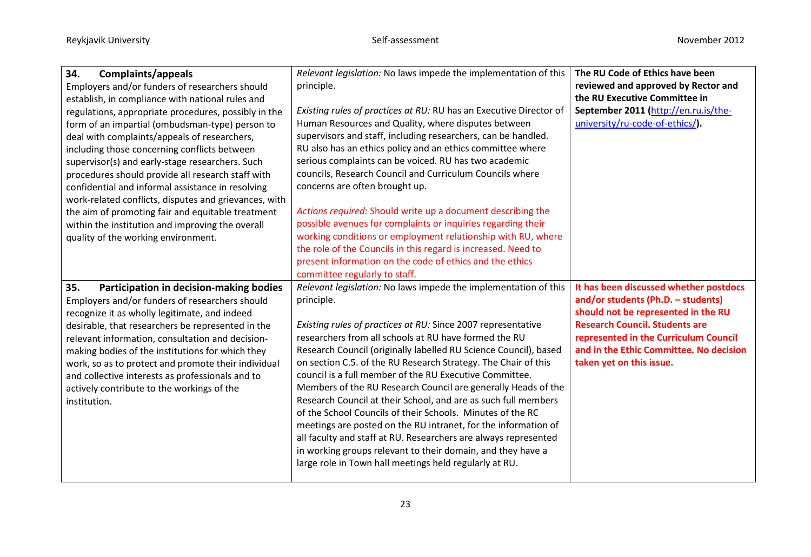| 34.<br>Complaints/appeals                             | Relevant legislation: No laws impede the implementation of this    | The RU Code of Ethics have been         |
|-------------------------------------------------------|--------------------------------------------------------------------|-----------------------------------------|
| Employers and/or funders of researchers should        | principle.                                                         | reviewed and approved by Rector and     |
| establish, in compliance with national rules and      |                                                                    | the RU Executive Committee in           |
| regulations, appropriate procedures, possibly in the  | Existing rules of practices at RU: RU has an Executive Director of | September 2011 (http://en.ru.is/the-    |
| form of an impartial (ombudsman-type) person to       | Human Resources and Quality, where disputes between                | university/ru-code-of-ethics/).         |
| deal with complaints/appeals of researchers,          | supervisors and staff, including researchers, can be handled.      |                                         |
| including those concerning conflicts between          | RU also has an ethics policy and an ethics committee where         |                                         |
| supervisor(s) and early-stage researchers. Such       | serious complaints can be voiced. RU has two academic              |                                         |
| procedures should provide all research staff with     | councils, Research Council and Curriculum Councils where           |                                         |
| confidential and informal assistance in resolving     | concerns are often brought up.                                     |                                         |
| work-related conflicts, disputes and grievances, with |                                                                    |                                         |
| the aim of promoting fair and equitable treatment     | Actions required: Should write up a document describing the        |                                         |
| within the institution and improving the overall      | possible avenues for complaints or inquiries regarding their       |                                         |
| quality of the working environment.                   | working conditions or employment relationship with RU, where       |                                         |
|                                                       | the role of the Councils in this regard is increased. Need to      |                                         |
|                                                       | present information on the code of ethics and the ethics           |                                         |
|                                                       | committee regularly to staff.                                      |                                         |
| 35.<br>Participation in decision-making bodies        | Relevant legislation: No laws impede the implementation of this    | It has been discussed whether postdocs  |
| Employers and/or funders of researchers should        | principle.                                                         | and/or students (Ph.D. - students)      |
| recognize it as wholly legitimate, and indeed         |                                                                    | should not be represented in the RU     |
| desirable, that researchers be represented in the     | Existing rules of practices at RU: Since 2007 representative       | <b>Research Council. Students are</b>   |
| relevant information, consultation and decision-      | researchers from all schools at RU have formed the RU              | represented in the Curriculum Council   |
| making bodies of the institutions for which they      | Research Council (originally labelled RU Science Council), based   | and in the Ethic Committee. No decision |
| work, so as to protect and promote their individual   | on section C.5. of the RU Research Strategy. The Chair of this     | taken yet on this issue.                |
| and collective interests as professionals and to      | council is a full member of the RU Executive Committee.            |                                         |
| actively contribute to the workings of the            | Members of the RU Research Council are generally Heads of the      |                                         |
| institution.                                          | Research Council at their School, and are as such full members     |                                         |
|                                                       | of the School Councils of their Schools. Minutes of the RC         |                                         |
|                                                       | meetings are posted on the RU intranet, for the information of     |                                         |
|                                                       | all faculty and staff at RU. Researchers are always represented    |                                         |
|                                                       | in working groups relevant to their domain, and they have a        |                                         |
|                                                       | large role in Town hall meetings held regularly at RU.             |                                         |
|                                                       |                                                                    |                                         |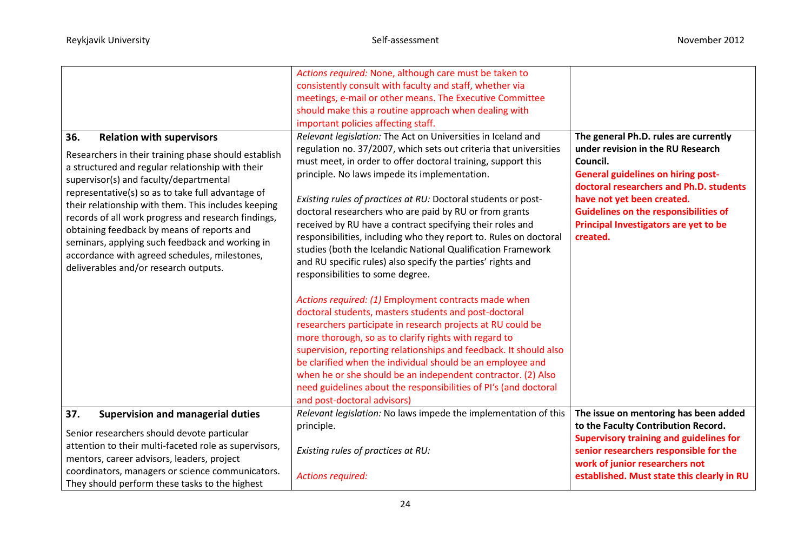| 36.<br><b>Relation with supervisors</b>                                                                                                                                                                                                                                                                                                                                                                                                                                                                          | Actions required: None, although care must be taken to<br>consistently consult with faculty and staff, whether via<br>meetings, e-mail or other means. The Executive Committee<br>should make this a routine approach when dealing with<br>important policies affecting staff.<br>Relevant legislation: The Act on Universities in Iceland and                                                                                                                                                                                                                                                                     | The general Ph.D. rules are currently                                                                                                                                                                                                                                    |
|------------------------------------------------------------------------------------------------------------------------------------------------------------------------------------------------------------------------------------------------------------------------------------------------------------------------------------------------------------------------------------------------------------------------------------------------------------------------------------------------------------------|--------------------------------------------------------------------------------------------------------------------------------------------------------------------------------------------------------------------------------------------------------------------------------------------------------------------------------------------------------------------------------------------------------------------------------------------------------------------------------------------------------------------------------------------------------------------------------------------------------------------|--------------------------------------------------------------------------------------------------------------------------------------------------------------------------------------------------------------------------------------------------------------------------|
| Researchers in their training phase should establish<br>a structured and regular relationship with their<br>supervisor(s) and faculty/departmental<br>representative(s) so as to take full advantage of<br>their relationship with them. This includes keeping<br>records of all work progress and research findings,<br>obtaining feedback by means of reports and<br>seminars, applying such feedback and working in<br>accordance with agreed schedules, milestones,<br>deliverables and/or research outputs. | regulation no. 37/2007, which sets out criteria that universities<br>must meet, in order to offer doctoral training, support this<br>principle. No laws impede its implementation.<br>Existing rules of practices at RU: Doctoral students or post-<br>doctoral researchers who are paid by RU or from grants<br>received by RU have a contract specifying their roles and<br>responsibilities, including who they report to. Rules on doctoral<br>studies (both the Icelandic National Qualification Framework<br>and RU specific rules) also specify the parties' rights and<br>responsibilities to some degree. | under revision in the RU Research<br>Council.<br><b>General guidelines on hiring post-</b><br>doctoral researchers and Ph.D. students<br>have not yet been created.<br><b>Guidelines on the responsibilities of</b><br>Principal Investigators are yet to be<br>created. |
|                                                                                                                                                                                                                                                                                                                                                                                                                                                                                                                  | Actions required: (1) Employment contracts made when<br>doctoral students, masters students and post-doctoral<br>researchers participate in research projects at RU could be<br>more thorough, so as to clarify rights with regard to<br>supervision, reporting relationships and feedback. It should also<br>be clarified when the individual should be an employee and<br>when he or she should be an independent contractor. (2) Also<br>need guidelines about the responsibilities of PI's (and doctoral<br>and post-doctoral advisors)                                                                        |                                                                                                                                                                                                                                                                          |
| 37.<br><b>Supervision and managerial duties</b><br>Senior researchers should devote particular<br>attention to their multi-faceted role as supervisors,<br>mentors, career advisors, leaders, project<br>coordinators, managers or science communicators.<br>They should perform these tasks to the highest                                                                                                                                                                                                      | Relevant legislation: No laws impede the implementation of this<br>principle.<br>Existing rules of practices at RU:<br><b>Actions required:</b>                                                                                                                                                                                                                                                                                                                                                                                                                                                                    | The issue on mentoring has been added<br>to the Faculty Contribution Record.<br><b>Supervisory training and guidelines for</b><br>senior researchers responsible for the<br>work of junior researchers not<br>established. Must state this clearly in RU                 |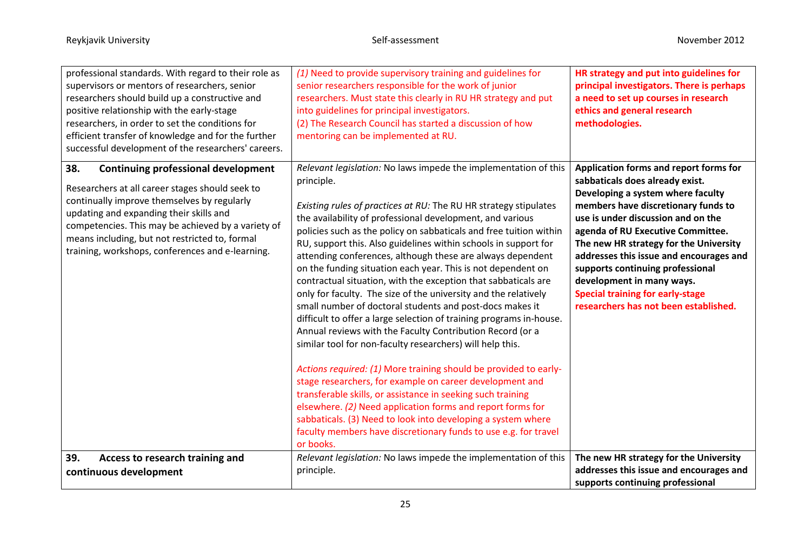| professional standards. With regard to their role as<br>supervisors or mentors of researchers, senior<br>researchers should build up a constructive and<br>positive relationship with the early-stage<br>researchers, in order to set the conditions for<br>efficient transfer of knowledge and for the further<br>successful development of the researchers' careers. | (1) Need to provide supervisory training and guidelines for<br>senior researchers responsible for the work of junior<br>researchers. Must state this clearly in RU HR strategy and put<br>into guidelines for principal investigators.<br>(2) The Research Council has started a discussion of how<br>mentoring can be implemented at RU.                                                                                                                                                                                                                                                                                                                                                                                                                                                                                                                                                                                                                                                                                                                                                                                                                                                                                                                                                            | HR strategy and put into guidelines for<br>principal investigators. There is perhaps<br>a need to set up courses in research<br>ethics and general research<br>methodologies.                                                                                                                                                                                                                                                                                              |
|------------------------------------------------------------------------------------------------------------------------------------------------------------------------------------------------------------------------------------------------------------------------------------------------------------------------------------------------------------------------|------------------------------------------------------------------------------------------------------------------------------------------------------------------------------------------------------------------------------------------------------------------------------------------------------------------------------------------------------------------------------------------------------------------------------------------------------------------------------------------------------------------------------------------------------------------------------------------------------------------------------------------------------------------------------------------------------------------------------------------------------------------------------------------------------------------------------------------------------------------------------------------------------------------------------------------------------------------------------------------------------------------------------------------------------------------------------------------------------------------------------------------------------------------------------------------------------------------------------------------------------------------------------------------------------|----------------------------------------------------------------------------------------------------------------------------------------------------------------------------------------------------------------------------------------------------------------------------------------------------------------------------------------------------------------------------------------------------------------------------------------------------------------------------|
| 38.<br><b>Continuing professional development</b><br>Researchers at all career stages should seek to<br>continually improve themselves by regularly<br>updating and expanding their skills and<br>competencies. This may be achieved by a variety of<br>means including, but not restricted to, formal<br>training, workshops, conferences and e-learning.             | Relevant legislation: No laws impede the implementation of this<br>principle.<br>Existing rules of practices at RU: The RU HR strategy stipulates<br>the availability of professional development, and various<br>policies such as the policy on sabbaticals and free tuition within<br>RU, support this. Also guidelines within schools in support for<br>attending conferences, although these are always dependent<br>on the funding situation each year. This is not dependent on<br>contractual situation, with the exception that sabbaticals are<br>only for faculty. The size of the university and the relatively<br>small number of doctoral students and post-docs makes it<br>difficult to offer a large selection of training programs in-house.<br>Annual reviews with the Faculty Contribution Record (or a<br>similar tool for non-faculty researchers) will help this.<br>Actions required: (1) More training should be provided to early-<br>stage researchers, for example on career development and<br>transferable skills, or assistance in seeking such training<br>elsewhere. (2) Need application forms and report forms for<br>sabbaticals. (3) Need to look into developing a system where<br>faculty members have discretionary funds to use e.g. for travel<br>or books. | Application forms and report forms for<br>sabbaticals does already exist.<br>Developing a system where faculty<br>members have discretionary funds to<br>use is under discussion and on the<br>agenda of RU Executive Committee.<br>The new HR strategy for the University<br>addresses this issue and encourages and<br>supports continuing professional<br>development in many ways.<br><b>Special training for early-stage</b><br>researchers has not been established. |
| 39.<br>Access to research training and<br>continuous development                                                                                                                                                                                                                                                                                                       | Relevant legislation: No laws impede the implementation of this<br>principle.                                                                                                                                                                                                                                                                                                                                                                                                                                                                                                                                                                                                                                                                                                                                                                                                                                                                                                                                                                                                                                                                                                                                                                                                                        | The new HR strategy for the University<br>addresses this issue and encourages and<br>supports continuing professional                                                                                                                                                                                                                                                                                                                                                      |